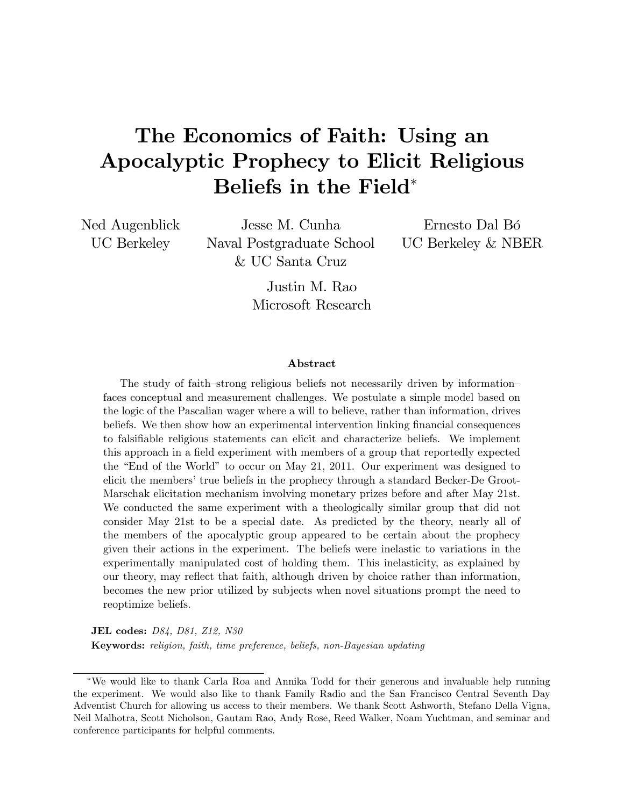# The Economics of Faith: Using an Apocalyptic Prophecy to Elicit Religious Beliefs in the Field

Ned Augenblick UC Berkeley

Jesse M. Cunha Naval Postgraduate School & UC Santa Cruz

Ernesto Dal Bó UC Berkeley & NBER

Justin M. Rao Microsoft Research

#### Abstract

The study of faith–strong religious beliefs not necessarily driven by information– faces conceptual and measurement challenges. We postulate a simple model based on the logic of the Pascalian wager where a will to believe, rather than information, drives beliefs. We then show how an experimental intervention linking financial consequences to falsifiable religious statements can elicit and characterize beliefs. We implement this approach in a field experiment with members of a group that reportedly expected the "End of the World" to occur on May 21, 2011. Our experiment was designed to elicit the members' true beliefs in the prophecy through a standard Becker-De Groot-Marschak elicitation mechanism involving monetary prizes before and after May 21st. We conducted the same experiment with a theologically similar group that did not consider May 21st to be a special date. As predicted by the theory, nearly all of the members of the apocalyptic group appeared to be certain about the prophecy given their actions in the experiment. The beliefs were inelastic to variations in the experimentally manipulated cost of holding them. This inelasticity, as explained by our theory, may reflect that faith, although driven by choice rather than information, becomes the new prior utilized by subjects when novel situations prompt the need to reoptimize beliefs.

JEL codes: D84, D81, Z12, N30 Keywords: religion, faith, time preference, beliefs, non-Bayesian updating

We would like to thank Carla Roa and Annika Todd for their generous and invaluable help running the experiment. We would also like to thank Family Radio and the San Francisco Central Seventh Day Adventist Church for allowing us access to their members. We thank Scott Ashworth, Stefano Della Vigna, Neil Malhotra, Scott Nicholson, Gautam Rao, Andy Rose, Reed Walker, Noam Yuchtman, and seminar and conference participants for helpful comments.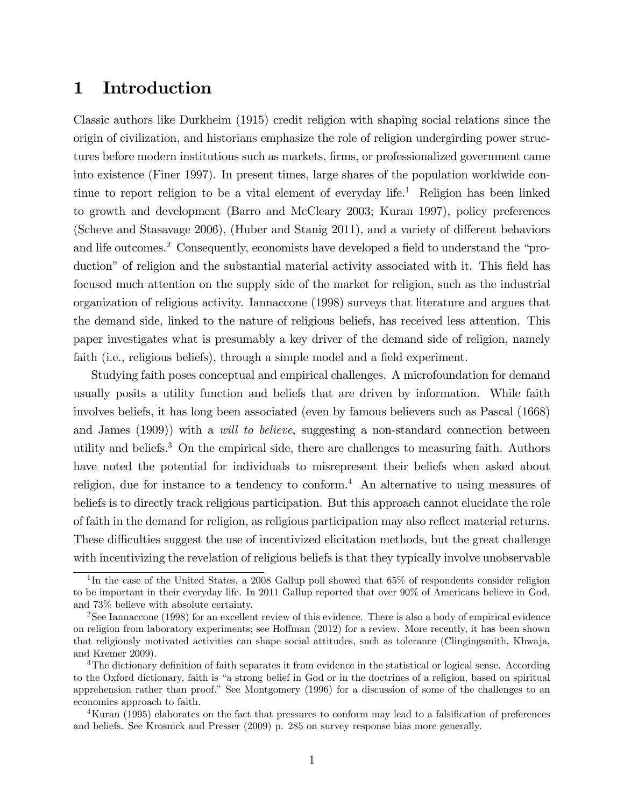# 1 Introduction

Classic authors like Durkheim (1915) credit religion with shaping social relations since the origin of civilization, and historians emphasize the role of religion undergirding power structures before modern institutions such as markets, firms, or professionalized government came into existence (Finer 1997). In present times, large shares of the population worldwide continue to report religion to be a vital element of everyday life.<sup>1</sup> Religion has been linked to growth and development (Barro and McCleary 2003; Kuran 1997), policy preferences (Scheve and Stasavage 2006), (Huber and Stanig 2011), and a variety of different behaviors and life outcomes.<sup>2</sup> Consequently, economists have developed a field to understand the "production" of religion and the substantial material activity associated with it. This field has focused much attention on the supply side of the market for religion, such as the industrial organization of religious activity. Iannaccone (1998) surveys that literature and argues that the demand side, linked to the nature of religious beliefs, has received less attention. This paper investigates what is presumably a key driver of the demand side of religion, namely faith (i.e., religious beliefs), through a simple model and a field experiment.

Studying faith poses conceptual and empirical challenges. A microfoundation for demand usually posits a utility function and beliefs that are driven by information. While faith involves beliefs, it has long been associated (even by famous believers such as Pascal (1668) and James (1909)) with a will to believe, suggesting a non-standard connection between utility and beliefs.<sup>3</sup> On the empirical side, there are challenges to measuring faith. Authors have noted the potential for individuals to misrepresent their beliefs when asked about religion, due for instance to a tendency to conform.<sup>4</sup> An alternative to using measures of beliefs is to directly track religious participation. But this approach cannot elucidate the role of faith in the demand for religion, as religious participation may also reáect material returns. These difficulties suggest the use of incentivized elicitation methods, but the great challenge with incentivizing the revelation of religious beliefs is that they typically involve unobservable

<sup>&</sup>lt;sup>1</sup>In the case of the United States, a 2008 Gallup poll showed that 65% of respondents consider religion to be important in their everyday life. In 2011 Gallup reported that over 90% of Americans believe in God, and 73% believe with absolute certainty.

<sup>&</sup>lt;sup>2</sup>See Iannaccone (1998) for an excellent review of this evidence. There is also a body of empirical evidence on religion from laboratory experiments; see Hoffman  $(2012)$  for a review. More recently, it has been shown that religiously motivated activities can shape social attitudes, such as tolerance (Clingingsmith, Khwaja, and Kremer 2009).

<sup>&</sup>lt;sup>3</sup>The dictionary definition of faith separates it from evidence in the statistical or logical sense. According to the Oxford dictionary, faith is "a strong belief in God or in the doctrines of a religion, based on spiritual apprehension rather than proof.î See Montgomery (1996) for a discussion of some of the challenges to an economics approach to faith.

<sup>&</sup>lt;sup>4</sup>Kuran (1995) elaborates on the fact that pressures to conform may lead to a falsification of preferences and beliefs. See Krosnick and Presser (2009) p. 285 on survey response bias more generally.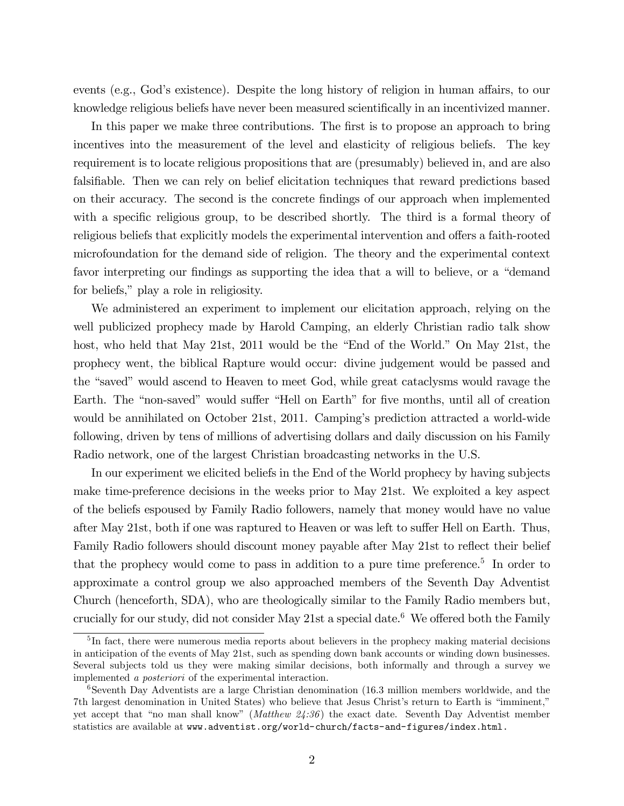events (e.g., God's existence). Despite the long history of religion in human affairs, to our knowledge religious beliefs have never been measured scientifically in an incentivized manner.

In this paper we make three contributions. The first is to propose an approach to bring incentives into the measurement of the level and elasticity of religious beliefs. The key requirement is to locate religious propositions that are (presumably) believed in, and are also falsifiable. Then we can rely on belief elicitation techniques that reward predictions based on their accuracy. The second is the concrete Öndings of our approach when implemented with a specific religious group, to be described shortly. The third is a formal theory of religious beliefs that explicitly models the experimental intervention and offers a faith-rooted microfoundation for the demand side of religion. The theory and the experimental context favor interpreting our findings as supporting the idea that a will to believe, or a "demand" for beliefs," play a role in religiosity.

We administered an experiment to implement our elicitation approach, relying on the well publicized prophecy made by Harold Camping, an elderly Christian radio talk show host, who held that May 21st, 2011 would be the "End of the World." On May 21st, the prophecy went, the biblical Rapture would occur: divine judgement would be passed and the "saved" would ascend to Heaven to meet God, while great cataclysms would ravage the Earth. The "non-saved" would suffer "Hell on Earth" for five months, until all of creation would be annihilated on October 21st, 2011. Camping's prediction attracted a world-wide following, driven by tens of millions of advertising dollars and daily discussion on his Family Radio network, one of the largest Christian broadcasting networks in the U.S.

In our experiment we elicited beliefs in the End of the World prophecy by having subjects make time-preference decisions in the weeks prior to May 21st. We exploited a key aspect of the beliefs espoused by Family Radio followers, namely that money would have no value after May 21st, both if one was raptured to Heaven or was left to suffer Hell on Earth. Thus, Family Radio followers should discount money payable after May 21st to reflect their belief that the prophecy would come to pass in addition to a pure time preference.<sup>5</sup> In order to approximate a control group we also approached members of the Seventh Day Adventist Church (henceforth, SDA), who are theologically similar to the Family Radio members but, crucially for our study, did not consider May 21st a special date.<sup>6</sup> We offered both the Family

<sup>&</sup>lt;sup>5</sup>In fact, there were numerous media reports about believers in the prophecy making material decisions in anticipation of the events of May 21st, such as spending down bank accounts or winding down businesses. Several subjects told us they were making similar decisions, both informally and through a survey we implemented a posteriori of the experimental interaction.

<sup>6</sup>Seventh Day Adventists are a large Christian denomination (16.3 million members worldwide, and the 7th largest denomination in United States) who believe that Jesus Christ's return to Earth is "imminent," yet accept that "no man shall know" (*Matthew*  $24:36$ *)* the exact date. Seventh Day Adventist member statistics are available at www.adventist.org/world-church/facts-and-figures/index.html.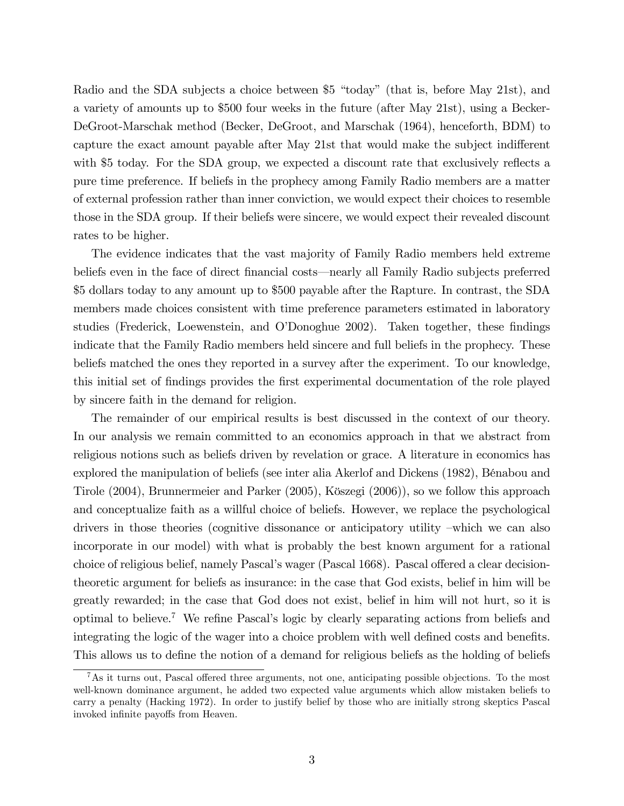Radio and the SDA subjects a choice between  $$5$  "today" (that is, before May 21st), and a variety of amounts up to \$500 four weeks in the future (after May 21st), using a Becker-DeGroot-Marschak method (Becker, DeGroot, and Marschak (1964), henceforth, BDM) to capture the exact amount payable after May 21st that would make the subject indifferent with \$5 today. For the SDA group, we expected a discount rate that exclusively reflects a pure time preference. If beliefs in the prophecy among Family Radio members are a matter of external profession rather than inner conviction, we would expect their choices to resemble those in the SDA group. If their beliefs were sincere, we would expect their revealed discount rates to be higher.

The evidence indicates that the vast majority of Family Radio members held extreme beliefs even in the face of direct financial costs—nearly all Family Radio subjects preferred \$5 dollars today to any amount up to \$500 payable after the Rapture. In contrast, the SDA members made choices consistent with time preference parameters estimated in laboratory studies (Frederick, Loewenstein, and O'Donoghue 2002). Taken together, these findings indicate that the Family Radio members held sincere and full beliefs in the prophecy. These beliefs matched the ones they reported in a survey after the experiment. To our knowledge, this initial set of Öndings provides the Örst experimental documentation of the role played by sincere faith in the demand for religion.

The remainder of our empirical results is best discussed in the context of our theory. In our analysis we remain committed to an economics approach in that we abstract from religious notions such as beliefs driven by revelation or grace. A literature in economics has explored the manipulation of beliefs (see inter alia Akerlof and Dickens (1982), Bénabou and Tirole (2004), Brunnermeier and Parker (2005), Kˆszegi (2006)), so we follow this approach and conceptualize faith as a willful choice of beliefs. However, we replace the psychological drivers in those theories (cognitive dissonance or anticipatory utility –which we can also incorporate in our model) with what is probably the best known argument for a rational choice of religious belief, namely Pascal's wager (Pascal 1668). Pascal offered a clear decisiontheoretic argument for beliefs as insurance: in the case that God exists, belief in him will be greatly rewarded; in the case that God does not exist, belief in him will not hurt, so it is optimal to believe.<sup>7</sup> We refine Pascal's logic by clearly separating actions from beliefs and integrating the logic of the wager into a choice problem with well defined costs and benefits. This allows us to define the notion of a demand for religious beliefs as the holding of beliefs

 ${}^{7}$ As it turns out, Pascal offered three arguments, not one, anticipating possible objections. To the most well-known dominance argument, he added two expected value arguments which allow mistaken beliefs to carry a penalty (Hacking 1972). In order to justify belief by those who are initially strong skeptics Pascal invoked infinite payoffs from Heaven.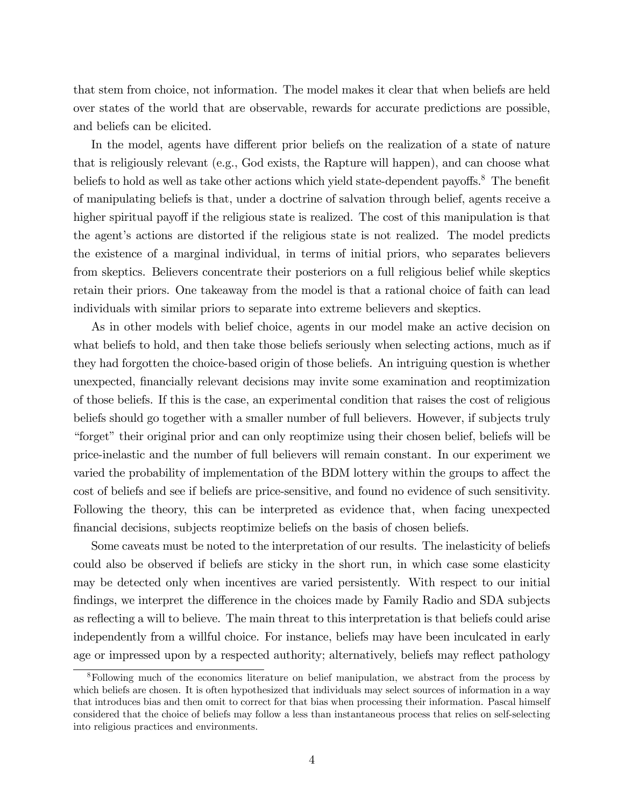that stem from choice, not information. The model makes it clear that when beliefs are held over states of the world that are observable, rewards for accurate predictions are possible, and beliefs can be elicited.

In the model, agents have different prior beliefs on the realization of a state of nature that is religiously relevant (e.g., God exists, the Rapture will happen), and can choose what beliefs to hold as well as take other actions which yield state-dependent payoffs.<sup>8</sup> The benefit of manipulating beliefs is that, under a doctrine of salvation through belief, agents receive a higher spiritual payoff if the religious state is realized. The cost of this manipulation is that the agent's actions are distorted if the religious state is not realized. The model predicts the existence of a marginal individual, in terms of initial priors, who separates believers from skeptics. Believers concentrate their posteriors on a full religious belief while skeptics retain their priors. One takeaway from the model is that a rational choice of faith can lead individuals with similar priors to separate into extreme believers and skeptics.

As in other models with belief choice, agents in our model make an active decision on what beliefs to hold, and then take those beliefs seriously when selecting actions, much as if they had forgotten the choice-based origin of those beliefs. An intriguing question is whether unexpected, Önancially relevant decisions may invite some examination and reoptimization of those beliefs. If this is the case, an experimental condition that raises the cost of religious beliefs should go together with a smaller number of full believers. However, if subjects truly "forget" their original prior and can only reoptimize using their chosen belief, beliefs will be price-inelastic and the number of full believers will remain constant. In our experiment we varied the probability of implementation of the BDM lottery within the groups to affect the cost of beliefs and see if beliefs are price-sensitive, and found no evidence of such sensitivity. Following the theory, this can be interpreted as evidence that, when facing unexpected Önancial decisions, subjects reoptimize beliefs on the basis of chosen beliefs.

Some caveats must be noted to the interpretation of our results. The inelasticity of beliefs could also be observed if beliefs are sticky in the short run, in which case some elasticity may be detected only when incentives are varied persistently. With respect to our initial findings, we interpret the difference in the choices made by Family Radio and SDA subjects as reflecting a will to believe. The main threat to this interpretation is that beliefs could arise independently from a willful choice. For instance, beliefs may have been inculcated in early age or impressed upon by a respected authority; alternatively, beliefs may reflect pathology

<sup>&</sup>lt;sup>8</sup>Following much of the economics literature on belief manipulation, we abstract from the process by which beliefs are chosen. It is often hypothesized that individuals may select sources of information in a way that introduces bias and then omit to correct for that bias when processing their information. Pascal himself considered that the choice of beliefs may follow a less than instantaneous process that relies on self-selecting into religious practices and environments.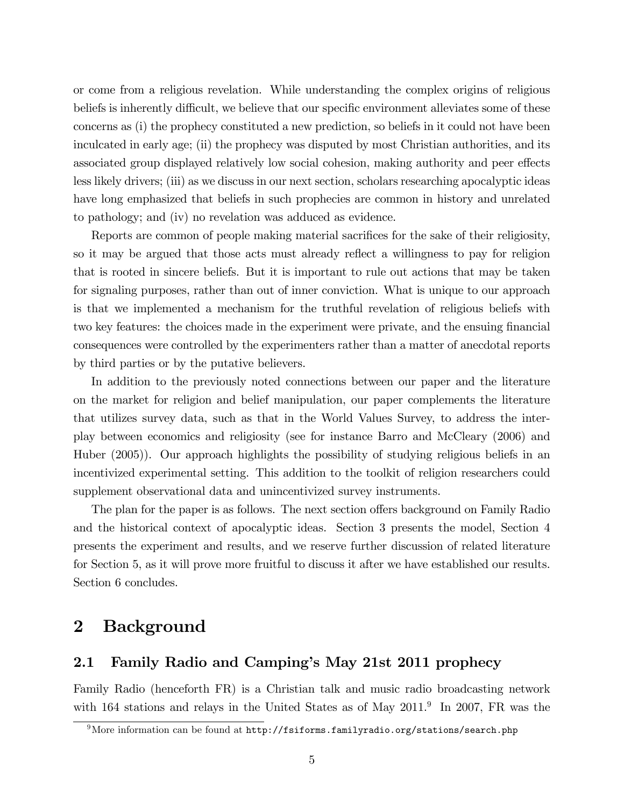or come from a religious revelation. While understanding the complex origins of religious beliefs is inherently difficult, we believe that our specific environment alleviates some of these concerns as (i) the prophecy constituted a new prediction, so beliefs in it could not have been inculcated in early age; (ii) the prophecy was disputed by most Christian authorities, and its associated group displayed relatively low social cohesion, making authority and peer effects less likely drivers; (iii) as we discuss in our next section, scholars researching apocalyptic ideas have long emphasized that beliefs in such prophecies are common in history and unrelated to pathology; and (iv) no revelation was adduced as evidence.

Reports are common of people making material sacrifices for the sake of their religiosity, so it may be argued that those acts must already reflect a willingness to pay for religion that is rooted in sincere beliefs. But it is important to rule out actions that may be taken for signaling purposes, rather than out of inner conviction. What is unique to our approach is that we implemented a mechanism for the truthful revelation of religious beliefs with two key features: the choices made in the experiment were private, and the ensuing financial consequences were controlled by the experimenters rather than a matter of anecdotal reports by third parties or by the putative believers.

In addition to the previously noted connections between our paper and the literature on the market for religion and belief manipulation, our paper complements the literature that utilizes survey data, such as that in the World Values Survey, to address the interplay between economics and religiosity (see for instance Barro and McCleary (2006) and Huber (2005)). Our approach highlights the possibility of studying religious beliefs in an incentivized experimental setting. This addition to the toolkit of religion researchers could supplement observational data and unincentivized survey instruments.

The plan for the paper is as follows. The next section offers background on Family Radio and the historical context of apocalyptic ideas. Section 3 presents the model, Section 4 presents the experiment and results, and we reserve further discussion of related literature for Section 5, as it will prove more fruitful to discuss it after we have established our results. Section 6 concludes.

# 2 Background

### 2.1 Family Radio and Camping's May 21st 2011 prophecy

Family Radio (henceforth FR) is a Christian talk and music radio broadcasting network with 164 stations and relays in the United States as of May  $2011.^9$  In 2007, FR was the

 $9$ More information can be found at http://fsiforms.familyradio.org/stations/search.php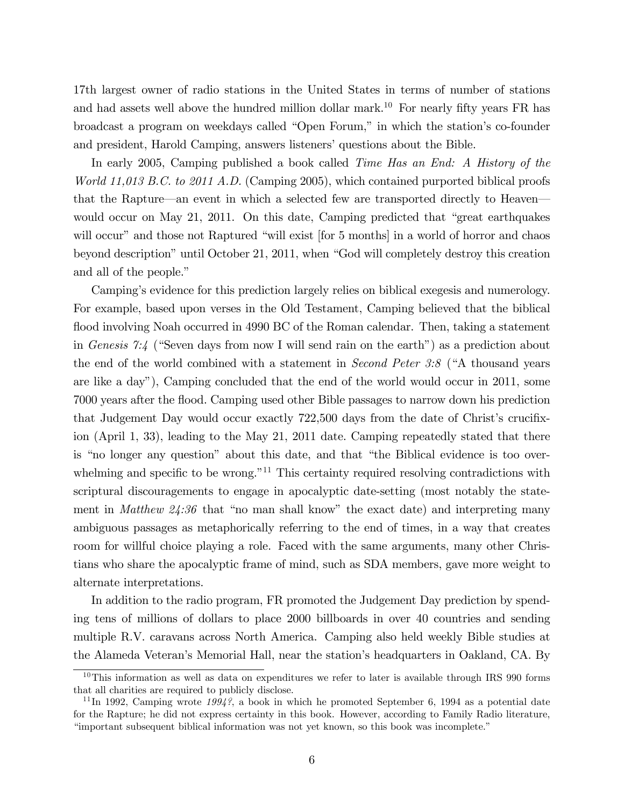17th largest owner of radio stations in the United States in terms of number of stations and had assets well above the hundred million dollar mark.<sup>10</sup> For nearly fifty years FR has broadcast a program on weekdays called "Open Forum," in which the station's co-founder and president, Harold Camping, answers listeners' questions about the Bible.

In early 2005, Camping published a book called Time Has an End: A History of the World 11,013 B.C. to 2011 A.D. (Camping 2005), which contained purported biblical proofs that the Rapture—an event in which a selected few are transported directly to Heaven would occur on May 21, 2011. On this date, Camping predicted that  $\degree$ great earthquakes will occur" and those not Raptured "will exist [for 5 months] in a world of horror and chaos beyond description" until October 21, 2011, when "God will completely destroy this creation and all of the people."

Camping's evidence for this prediction largely relies on biblical exegesis and numerology. For example, based upon verses in the Old Testament, Camping believed that the biblical flood involving Noah occurred in 4990 BC of the Roman calendar. Then, taking a statement in Genesis 7:4 ("Seven days from now I will send rain on the earth") as a prediction about the end of the world combined with a statement in *Second Peter 3:8* ( $A$  thousand years are like a dayî), Camping concluded that the end of the world would occur in 2011, some 7000 years after the áood. Camping used other Bible passages to narrow down his prediction that Judgement Day would occur exactly 722,500 days from the date of Christ's crucifixion (April 1, 33), leading to the May 21, 2011 date. Camping repeatedly stated that there is "no longer any question" about this date, and that "the Biblical evidence is too overwhelming and specific to be wrong.<sup> $n_{11}$ </sup> This certainty required resolving contradictions with scriptural discouragements to engage in apocalyptic date-setting (most notably the statement in *Matthew*  $24:36$  that "no man shall know" the exact date) and interpreting many ambiguous passages as metaphorically referring to the end of times, in a way that creates room for willful choice playing a role. Faced with the same arguments, many other Christians who share the apocalyptic frame of mind, such as SDA members, gave more weight to alternate interpretations.

In addition to the radio program, FR promoted the Judgement Day prediction by spending tens of millions of dollars to place 2000 billboards in over 40 countries and sending multiple R.V. caravans across North America. Camping also held weekly Bible studies at the Alameda Veteran's Memorial Hall, near the station's headquarters in Oakland, CA. By

 $10$ This information as well as data on expenditures we refer to later is available through IRS 990 forms that all charities are required to publicly disclose.

<sup>&</sup>lt;sup>11</sup>In 1992, Camping wrote  $1994$ ?, a book in which he promoted September 6, 1994 as a potential date for the Rapture; he did not express certainty in this book. However, according to Family Radio literature, ìimportant subsequent biblical information was not yet known, so this book was incomplete.î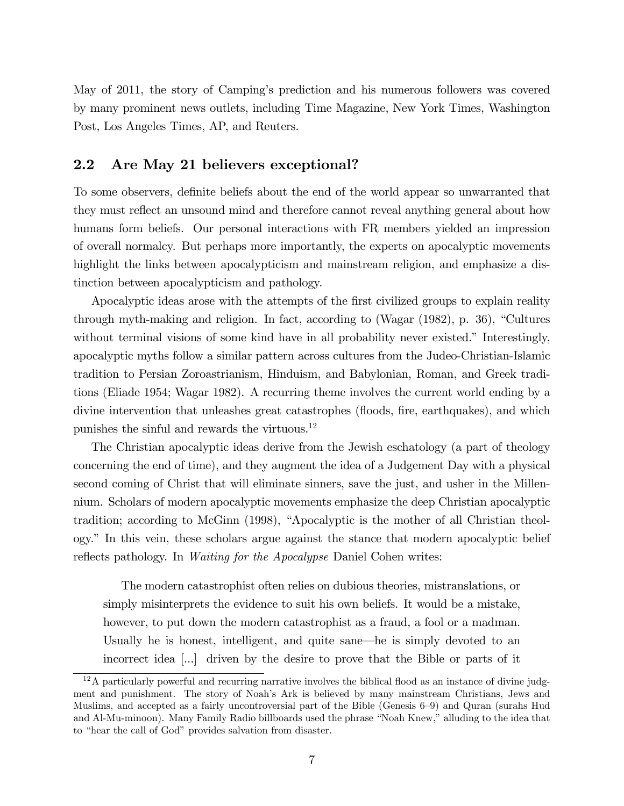May of 2011, the story of Campingís prediction and his numerous followers was covered by many prominent news outlets, including Time Magazine, New York Times, Washington Post, Los Angeles Times, AP, and Reuters.

### 2.2 Are May 21 believers exceptional?

To some observers, definite beliefs about the end of the world appear so unwarranted that they must reflect an unsound mind and therefore cannot reveal anything general about how humans form beliefs. Our personal interactions with FR members yielded an impression of overall normalcy. But perhaps more importantly, the experts on apocalyptic movements highlight the links between apocalypticism and mainstream religion, and emphasize a distinction between apocalypticism and pathology.

Apocalyptic ideas arose with the attempts of the first civilized groups to explain reality through myth-making and religion. In fact, according to (Wagar  $(1982)$ , p. 36), "Cultures without terminal visions of some kind have in all probability never existed." Interestingly, apocalyptic myths follow a similar pattern across cultures from the Judeo-Christian-Islamic tradition to Persian Zoroastrianism, Hinduism, and Babylonian, Roman, and Greek traditions (Eliade 1954; Wagar 1982). A recurring theme involves the current world ending by a divine intervention that unleashes great catastrophes (floods, fire, earthquakes), and which punishes the sinful and rewards the virtuous.<sup>12</sup>

The Christian apocalyptic ideas derive from the Jewish eschatology (a part of theology concerning the end of time), and they augment the idea of a Judgement Day with a physical second coming of Christ that will eliminate sinners, save the just, and usher in the Millennium. Scholars of modern apocalyptic movements emphasize the deep Christian apocalyptic tradition; according to McGinn (1998), "Apocalyptic is the mother of all Christian theology.î In this vein, these scholars argue against the stance that modern apocalyptic belief reflects pathology. In *Waiting for the Apocalypse* Daniel Cohen writes:

The modern catastrophist often relies on dubious theories, mistranslations, or simply misinterprets the evidence to suit his own beliefs. It would be a mistake, however, to put down the modern catastrophist as a fraud, a fool or a madman. Usually he is honest, intelligent, and quite sane—he is simply devoted to an incorrect idea [...] driven by the desire to prove that the Bible or parts of it

 $12A$  particularly powerful and recurring narrative involves the biblical flood as an instance of divine judgment and punishment. The story of Noahís Ark is believed by many mainstream Christians, Jews and Muslims, and accepted as a fairly uncontroversial part of the Bible (Genesis 6–9) and Quran (surahs Hud and Al-Mu-minoon). Many Family Radio billboards used the phrase "Noah Knew," alluding to the idea that to "hear the call of God" provides salvation from disaster.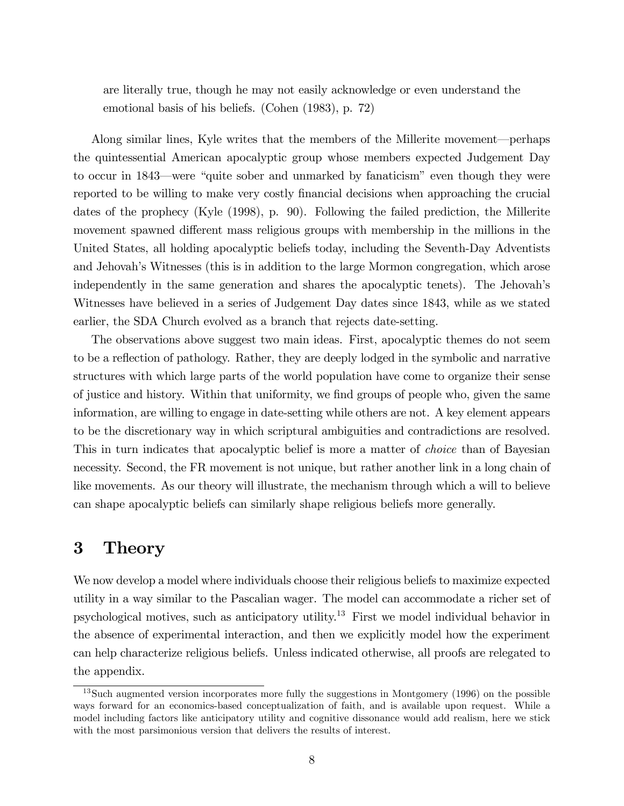are literally true, though he may not easily acknowledge or even understand the emotional basis of his beliefs. (Cohen (1983), p. 72)

Along similar lines, Kyle writes that the members of the Millerite movement—perhaps the quintessential American apocalyptic group whose members expected Judgement Day to occur in 1843—were "quite sober and unmarked by fanaticism" even though they were reported to be willing to make very costly Önancial decisions when approaching the crucial dates of the prophecy (Kyle (1998), p. 90). Following the failed prediction, the Millerite movement spawned different mass religious groups with membership in the millions in the United States, all holding apocalyptic beliefs today, including the Seventh-Day Adventists and Jehovah's Witnesses (this is in addition to the large Mormon congregation, which arose independently in the same generation and shares the apocalyptic tenets). The Jehovah's Witnesses have believed in a series of Judgement Day dates since 1843, while as we stated earlier, the SDA Church evolved as a branch that rejects date-setting.

The observations above suggest two main ideas. First, apocalyptic themes do not seem to be a reflection of pathology. Rather, they are deeply lodged in the symbolic and narrative structures with which large parts of the world population have come to organize their sense of justice and history. Within that uniformity, we find groups of people who, given the same information, are willing to engage in date-setting while others are not. A key element appears to be the discretionary way in which scriptural ambiguities and contradictions are resolved. This in turn indicates that apocalyptic belief is more a matter of *choice* than of Bayesian necessity. Second, the FR movement is not unique, but rather another link in a long chain of like movements. As our theory will illustrate, the mechanism through which a will to believe can shape apocalyptic beliefs can similarly shape religious beliefs more generally.

# 3 Theory

We now develop a model where individuals choose their religious beliefs to maximize expected utility in a way similar to the Pascalian wager. The model can accommodate a richer set of psychological motives, such as anticipatory utility.<sup>13</sup> First we model individual behavior in the absence of experimental interaction, and then we explicitly model how the experiment can help characterize religious beliefs. Unless indicated otherwise, all proofs are relegated to the appendix.

<sup>&</sup>lt;sup>13</sup>Such augmented version incorporates more fully the suggestions in Montgomery (1996) on the possible ways forward for an economics-based conceptualization of faith, and is available upon request. While a model including factors like anticipatory utility and cognitive dissonance would add realism, here we stick with the most parsimonious version that delivers the results of interest.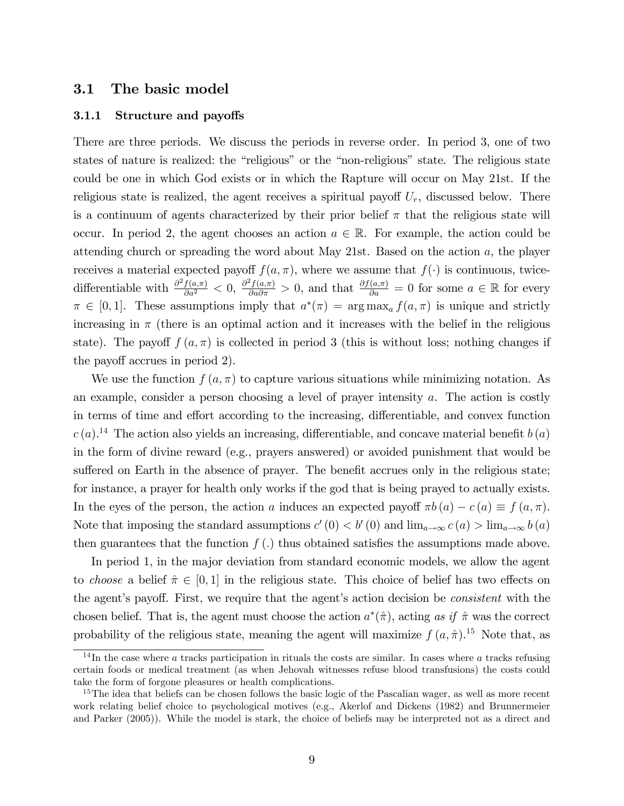### 3.1 The basic model

#### 3.1.1 Structure and payoffs

There are three periods. We discuss the periods in reverse order. In period 3, one of two states of nature is realized: the "religious" or the "non-religious" state. The religious state could be one in which God exists or in which the Rapture will occur on May 21st. If the religious state is realized, the agent receives a spiritual payoff  $U_r$ , discussed below. There is a continuum of agents characterized by their prior belief  $\pi$  that the religious state will occur. In period 2, the agent chooses an action  $a \in \mathbb{R}$ . For example, the action could be attending church or spreading the word about May 21st. Based on the action a, the player receives a material expected payoff  $f(a, \pi)$ , where we assume that  $f(\cdot)$  is continuous, twicedifferentiable with  $\frac{\partial^2 f(a,\pi)}{\partial a^2} < 0$ ,  $\frac{\partial^2 f(a,\pi)}{\partial a \partial \pi} > 0$ , and that  $\frac{\partial f(a,\pi)}{\partial a} = 0$  for some  $a \in \mathbb{R}$  for every  $\pi \in [0, 1]$ . These assumptions imply that  $a^*(\pi) = \arg \max_a f(a, \pi)$  is unique and strictly increasing in  $\pi$  (there is an optimal action and it increases with the belief in the religious state). The payoff  $f(a,\pi)$  is collected in period 3 (this is without loss; nothing changes if the payoff accrues in period 2).

We use the function  $f(a,\pi)$  to capture various situations while minimizing notation. As an example, consider a person choosing a level of prayer intensity a. The action is costly in terms of time and effort according to the increasing, differentiable, and convex function  $c(a)$ <sup>14</sup> The action also yields an increasing, differentiable, and concave material benefit  $b(a)$ in the form of divine reward (e.g., prayers answered) or avoided punishment that would be suffered on Earth in the absence of prayer. The benefit accrues only in the religious state; for instance, a prayer for health only works if the god that is being prayed to actually exists. In the eyes of the person, the action a induces an expected payoff  $\pi b(a) - c(a) \equiv f(a, \pi)$ . Note that imposing the standard assumptions  $c'(0) < b'(0)$  and  $\lim_{a\to\infty} c(a) > \lim_{a\to\infty} b(a)$ then guarantees that the function  $f(.)$  thus obtained satisfies the assumptions made above.

In period 1, in the major deviation from standard economic models, we allow the agent to choose a belief  $\hat{\pi} \in [0, 1]$  in the religious state. This choice of belief has two effects on the agent's payoff. First, we require that the agent's action decision be *consistent* with the chosen belief. That is, the agent must choose the action  $a^*(\hat{\pi})$ , acting as if  $\hat{\pi}$  was the correct probability of the religious state, meaning the agent will maximize  $f(a, \hat{\pi})$ .<sup>15</sup> Note that, as

 $14$ In the case where a tracks participation in rituals the costs are similar. In cases where a tracks refusing certain foods or medical treatment (as when Jehovah witnesses refuse blood transfusions) the costs could take the form of forgone pleasures or health complications.

<sup>&</sup>lt;sup>15</sup>The idea that beliefs can be chosen follows the basic logic of the Pascalian wager, as well as more recent work relating belief choice to psychological motives (e.g., Akerlof and Dickens (1982) and Brunnermeier and Parker (2005)). While the model is stark, the choice of beliefs may be interpreted not as a direct and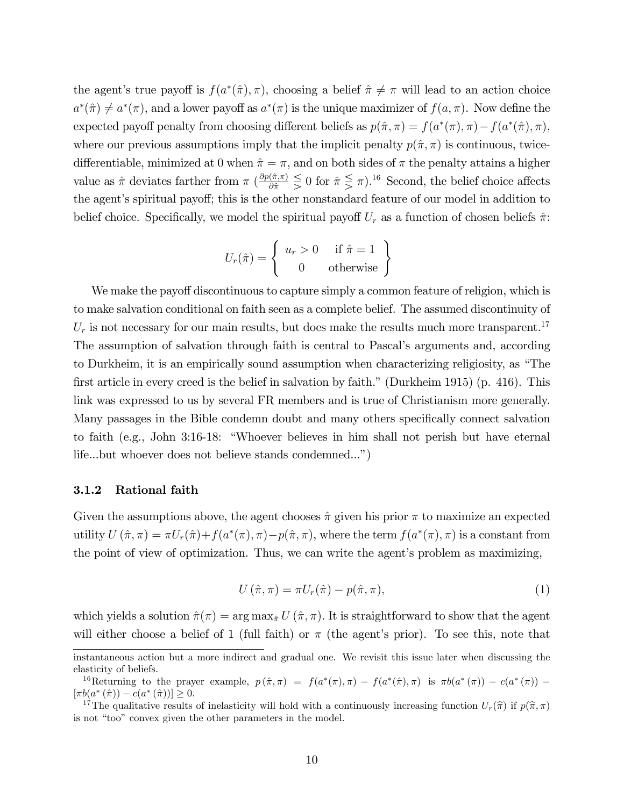the agent's true payoff is  $f(a^*(\hat{\pi}), \pi)$ , choosing a belief  $\hat{\pi} \neq \pi$  will lead to an action choice  $a^*(\hat{\pi}) \neq a^*(\pi)$ , and a lower payoff as  $a^*(\pi)$  is the unique maximizer of  $f(a, \pi)$ . Now define the expected payoff penalty from choosing different beliefs as  $p(\hat{\pi}, \pi) = f(a^*(\pi), \pi) - f(a^*(\hat{\pi}), \pi)$ , where our previous assumptions imply that the implicit penalty  $p(\hat{\pi}, \pi)$  is continuous, twicedifferentiable, minimized at 0 when  $\hat{\pi} = \pi$ , and on both sides of  $\pi$  the penalty attains a higher value as  $\hat{\pi}$  deviates farther from  $\pi$   $(\frac{\partial p(\hat{\pi}, \pi)}{\partial \hat{\pi}} \leq 0$  for  $\hat{\pi} \leq \pi)$ .<sup>16</sup> Second, the belief choice affects the agent's spiritual payoff; this is the other nonstandard feature of our model in addition to belief choice. Specifically, we model the spiritual payoff  $U_r$  as a function of chosen beliefs  $\hat{\pi}$ :

$$
U_r(\hat{\pi}) = \begin{cases} u_r > 0 & \text{if } \hat{\pi} = 1 \\ 0 & \text{otherwise} \end{cases}
$$

We make the payoff discontinuous to capture simply a common feature of religion, which is to make salvation conditional on faith seen as a complete belief. The assumed discontinuity of  $U_r$  is not necessary for our main results, but does make the results much more transparent.<sup>17</sup> The assumption of salvation through faith is central to Pascal's arguments and, according to Durkheim, it is an empirically sound assumption when characterizing religiosity, as "The first article in every creed is the belief in salvation by faith." (Durkheim 1915) (p. 416). This link was expressed to us by several FR members and is true of Christianism more generally. Many passages in the Bible condemn doubt and many others specifically connect salvation to faith (e.g., John 3:16-18: "Whoever believes in him shall not perish but have eternal life...but whoever does not believe stands condemned...")

#### 3.1.2 Rational faith

Given the assumptions above, the agent chooses  $\hat{\pi}$  given his prior  $\pi$  to maximize an expected utility  $U(\hat{\pi}, \pi) = \pi U_r(\hat{\pi}) + f(a^*(\pi), \pi) - p(\hat{\pi}, \pi)$ , where the term  $f(a^*(\pi), \pi)$  is a constant from the point of view of optimization. Thus, we can write the agent's problem as maximizing,

$$
U\left(\hat{\pi},\pi\right) = \pi U_r(\hat{\pi}) - p(\hat{\pi},\pi),\tag{1}
$$

which yields a solution  $\hat{\pi}(\pi) = \arg \max_{\hat{\pi}} U(\hat{\pi}, \pi)$ . It is straightforward to show that the agent will either choose a belief of 1 (full faith) or  $\pi$  (the agent's prior). To see this, note that

instantaneous action but a more indirect and gradual one. We revisit this issue later when discussing the elasticity of beliefs.

<sup>&</sup>lt;sup>16</sup>Returning to the prayer example,  $p(\hat{\pi}, \pi) = f(a^*(\pi), \pi) - f(a^*(\hat{\pi}), \pi)$  is  $\pi b(a^*(\pi)) - c(a^*(\pi)) [\pi b(a^*(\hat{\pi})) - c(a^*(\hat{\pi}))] \geq 0.$ 

<sup>&</sup>lt;sup>17</sup>The qualitative results of inelasticity will hold with a continuously increasing function  $U_r(\hat{\pi})$  if  $p(\hat{\pi}, \pi)$ is not "too" convex given the other parameters in the model.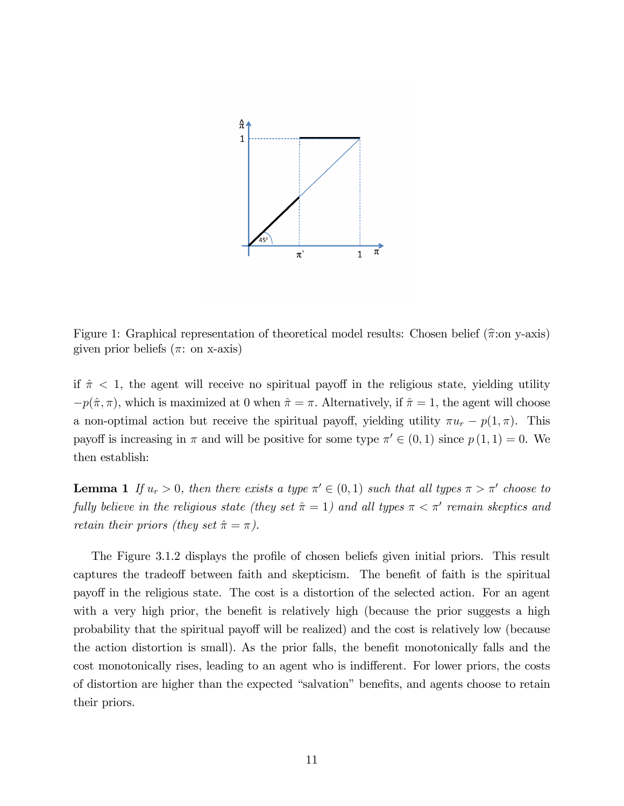

Figure 1: Graphical representation of theoretical model results: Chosen belief  $(\hat{\pi}$ :on y-axis) given prior beliefs  $(\pi: \text{ on } x\text{-axis})$ 

if  $\hat{\pi}$  < 1, the agent will receive no spiritual payoff in the religious state, yielding utility  $-p(\hat{\pi}, \pi)$ , which is maximized at 0 when  $\hat{\pi} = \pi$ . Alternatively, if  $\hat{\pi} = 1$ , the agent will choose a non-optimal action but receive the spiritual payoff, yielding utility  $\pi u_r - p(1, \pi)$ . This payoff is increasing in  $\pi$  and will be positive for some type  $\pi' \in (0,1)$  since  $p(1,1) = 0$ . We then establish:

**Lemma 1** If  $u_r > 0$ , then there exists a type  $\pi' \in (0,1)$  such that all types  $\pi > \pi'$  choose to fully believe in the religious state (they set  $\hat{\pi} = 1$ ) and all types  $\pi < \pi'$  remain skeptics and retain their priors (they set  $\hat{\pi} = \pi$ ).

The Figure 3.1.2 displays the profile of chosen beliefs given initial priors. This result captures the tradeoff between faith and skepticism. The benefit of faith is the spiritual payo§ in the religious state. The cost is a distortion of the selected action. For an agent with a very high prior, the benefit is relatively high (because the prior suggests a high probability that the spiritual payoff will be realized) and the cost is relatively low (because the action distortion is small). As the prior falls, the benefit monotonically falls and the cost monotonically rises, leading to an agent who is indifferent. For lower priors, the costs of distortion are higher than the expected "salvation" benefits, and agents choose to retain their priors.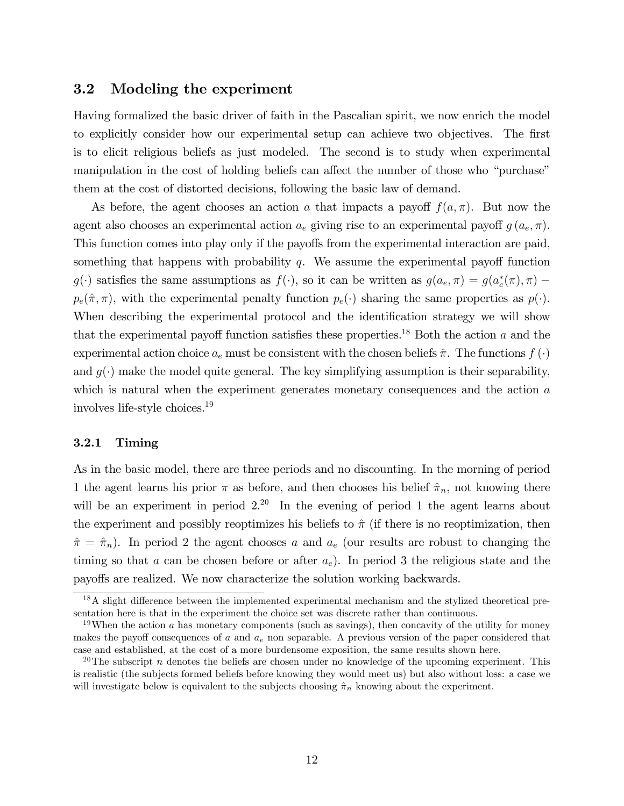### 3.2 Modeling the experiment

Having formalized the basic driver of faith in the Pascalian spirit, we now enrich the model to explicitly consider how our experimental setup can achieve two objectives. The first is to elicit religious beliefs as just modeled. The second is to study when experimental manipulation in the cost of holding beliefs can affect the number of those who "purchase" them at the cost of distorted decisions, following the basic law of demand.

As before, the agent chooses an action a that impacts a payoff  $f(a,\pi)$ . But now the agent also chooses an experimental action  $a_e$  giving rise to an experimental payoff  $g(a_e, \pi)$ . This function comes into play only if the payoffs from the experimental interaction are paid, something that happens with probability  $q$ . We assume the experimental payoff function  $g(\cdot)$  satisfies the same assumptions as  $f(\cdot)$ , so it can be written as  $g(a_e, \pi) = g(a_e^*(\pi), \pi)$  $p_e(\hat{\pi}, \pi)$ , with the experimental penalty function  $p_e(\cdot)$  sharing the same properties as  $p(\cdot)$ . When describing the experimental protocol and the identification strategy we will show that the experimental payoff function satisfies these properties.<sup>18</sup> Both the action  $a$  and the experimental action choice  $a_e$  must be consistent with the chosen beliefs  $\hat{\pi}$ . The functions  $f(\cdot)$ and  $g(\cdot)$  make the model quite general. The key simplifying assumption is their separability, which is natural when the experiment generates monetary consequences and the action a involves life-style choices.<sup>19</sup>

#### 3.2.1 Timing

As in the basic model, there are three periods and no discounting. In the morning of period 1 the agent learns his prior  $\pi$  as before, and then chooses his belief  $\hat{\pi}_n$ , not knowing there will be an experiment in period  $2^{20}$  In the evening of period 1 the agent learns about the experiment and possibly reoptimizes his beliefs to  $\hat{\pi}$  (if there is no reoptimization, then  $\hat{\pi} = \hat{\pi}_n$ ). In period 2 the agent chooses a and  $a_e$  (our results are robust to changing the timing so that a can be chosen before or after  $a_e$ ). In period 3 the religious state and the payo§s are realized. We now characterize the solution working backwards.

 $18$ A slight difference between the implemented experimental mechanism and the stylized theoretical presentation here is that in the experiment the choice set was discrete rather than continuous.

<sup>&</sup>lt;sup>19</sup>When the action a has monetary components (such as savings), then concavity of the utility for money makes the payoff consequences of a and  $a_e$  non separable. A previous version of the paper considered that case and established, at the cost of a more burdensome exposition, the same results shown here.

<sup>&</sup>lt;sup>20</sup>The subscript n denotes the beliefs are chosen under no knowledge of the upcoming experiment. This is realistic (the subjects formed beliefs before knowing they would meet us) but also without loss: a case we will investigate below is equivalent to the subjects choosing  $\hat{\pi}_n$  knowing about the experiment.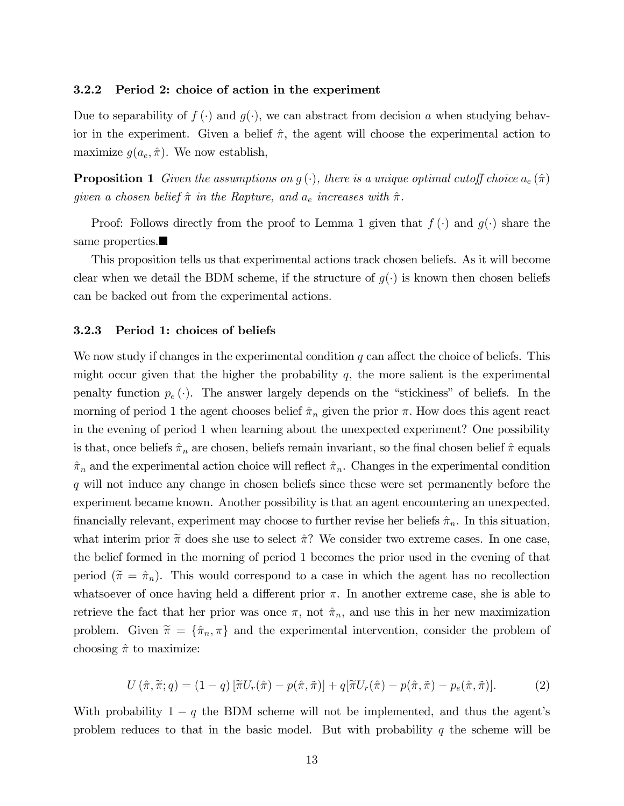#### 3.2.2 Period 2: choice of action in the experiment

Due to separability of  $f(\cdot)$  and  $g(\cdot)$ , we can abstract from decision a when studying behavior in the experiment. Given a belief  $\hat{\pi}$ , the agent will choose the experimental action to maximize  $g(a_e, \hat{\pi})$ . We now establish,

**Proposition 1** Given the assumptions on  $g(\cdot)$ , there is a unique optimal cutoff choice  $a_e(\hat{\pi})$ given a chosen belief  $\hat{\pi}$  in the Rapture, and  $a_e$  increases with  $\hat{\pi}$ .

Proof: Follows directly from the proof to Lemma 1 given that  $f(\cdot)$  and  $g(\cdot)$  share the same properties.

This proposition tells us that experimental actions track chosen beliefs. As it will become clear when we detail the BDM scheme, if the structure of  $g(\cdot)$  is known then chosen beliefs can be backed out from the experimental actions.

#### 3.2.3 Period 1: choices of beliefs

We now study if changes in the experimental condition q can affect the choice of beliefs. This might occur given that the higher the probability  $q$ , the more salient is the experimental penalty function  $p_e(\cdot)$ . The answer largely depends on the "stickiness" of beliefs. In the morning of period 1 the agent chooses belief  $\hat{\pi}_n$  given the prior  $\pi$ . How does this agent react in the evening of period 1 when learning about the unexpected experiment? One possibility is that, once beliefs  $\hat{\pi}_n$  are chosen, beliefs remain invariant, so the final chosen belief  $\hat{\pi}$  equals  $\hat{\pi}_n$  and the experimental action choice will reflect  $\hat{\pi}_n$ . Changes in the experimental condition q will not induce any change in chosen beliefs since these were set permanently before the experiment became known. Another possibility is that an agent encountering an unexpected, financially relevant, experiment may choose to further revise her beliefs  $\hat{\pi}_n$ . In this situation, what interim prior  $\tilde{\pi}$  does she use to select  $\hat{\pi}$ ? We consider two extreme cases. In one case, the belief formed in the morning of period 1 becomes the prior used in the evening of that period  $(\tilde{\pi} = \hat{\pi}_n)$ . This would correspond to a case in which the agent has no recollection whatsoever of once having held a different prior  $\pi$ . In another extreme case, she is able to retrieve the fact that her prior was once  $\pi$ , not  $\hat{\pi}_n$ , and use this in her new maximization problem. Given  $\tilde{\pi} = {\hat{\pi}_n, \pi}$  and the experimental intervention, consider the problem of choosing  $\hat{\pi}$  to maximize:

$$
U\left(\hat{\pi}, \tilde{\pi}; q\right) = \left(1 - q\right) \left[\tilde{\pi} U_r(\hat{\pi}) - p(\hat{\pi}, \tilde{\pi})\right] + q[\tilde{\pi} U_r(\hat{\pi}) - p(\hat{\pi}, \tilde{\pi}) - p_e(\hat{\pi}, \tilde{\pi})].\tag{2}
$$

With probability  $1 - q$  the BDM scheme will not be implemented, and thus the agent's problem reduces to that in the basic model. But with probability  $q$  the scheme will be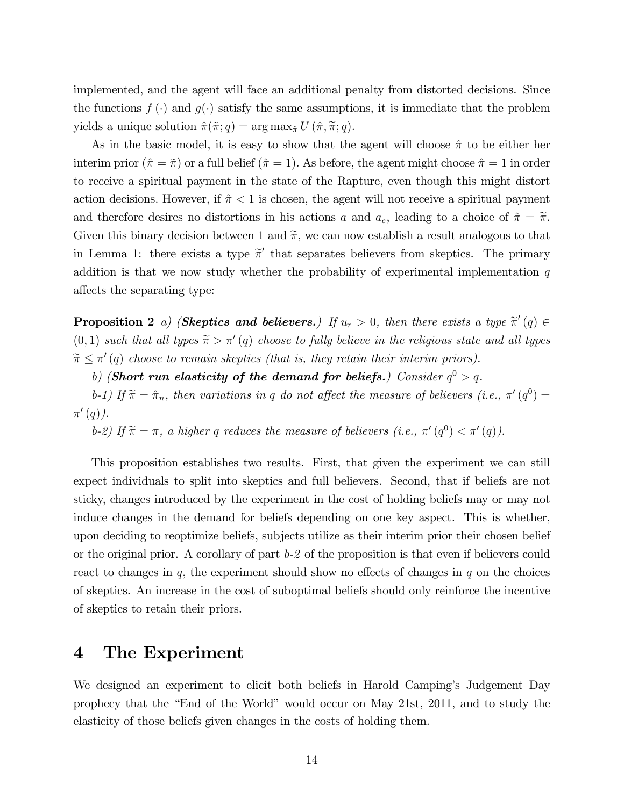implemented, and the agent will face an additional penalty from distorted decisions. Since the functions  $f(\cdot)$  and  $g(\cdot)$  satisfy the same assumptions, it is immediate that the problem yields a unique solution  $\hat{\pi}(\tilde{\pi}; q) = \arg \max_{\hat{\pi}} U(\hat{\pi}, \tilde{\pi}; q)$ .

As in the basic model, it is easy to show that the agent will choose  $\hat{\pi}$  to be either her interim prior  $(\hat{\pi} = \tilde{\pi})$  or a full belief  $(\hat{\pi} = 1)$ . As before, the agent might choose  $\hat{\pi} = 1$  in order to receive a spiritual payment in the state of the Rapture, even though this might distort action decisions. However, if  $\hat{\pi}$  < 1 is chosen, the agent will not receive a spiritual payment and therefore desires no distortions in his actions a and  $a_e$ , leading to a choice of  $\hat{\pi} = \tilde{\pi}$ . Given this binary decision between 1 and  $\tilde{\pi}$ , we can now establish a result analogous to that in Lemma 1: there exists a type  $\tilde{\pi}'$  that separates believers from skeptics. The primary addition is that we now study whether the probability of experimental implementation  $q$ affects the separating type:

**Proposition 2** a) (**Skeptics and believers.**) If  $u_r > 0$ , then there exists a type  $\tilde{\pi}'(q) \in$  $(0,1)$  such that all types  $\widetilde{\pi} > \pi'(q)$  choose to fully believe in the religious state and all types  $\widetilde{\pi} \leq \pi'(q)$  choose to remain skeptics (that is, they retain their interim priors).

b) (Short run elasticity of the demand for beliefs.) Consider  $q^0 > q$ .

b-1) If  $\tilde{\pi} = \hat{\pi}_n$ , then variations in q do not affect the measure of believers (i.e.,  $\pi'(q^0) =$  $\pi'(q)$ ).

b-2) If  $\tilde{\pi} = \pi$ , a higher q reduces the measure of believers (i.e.,  $\pi'(q^0) < \pi'(q)$ ).

This proposition establishes two results. First, that given the experiment we can still expect individuals to split into skeptics and full believers. Second, that if beliefs are not sticky, changes introduced by the experiment in the cost of holding beliefs may or may not induce changes in the demand for beliefs depending on one key aspect. This is whether, upon deciding to reoptimize beliefs, subjects utilize as their interim prior their chosen belief or the original prior. A corollary of part  $b-2$  of the proposition is that even if believers could react to changes in  $q$ , the experiment should show no effects of changes in  $q$  on the choices of skeptics. An increase in the cost of suboptimal beliefs should only reinforce the incentive of skeptics to retain their priors.

# 4 The Experiment

We designed an experiment to elicit both beliefs in Harold Camping's Judgement Day prophecy that the "End of the World" would occur on May 21st, 2011, and to study the elasticity of those beliefs given changes in the costs of holding them.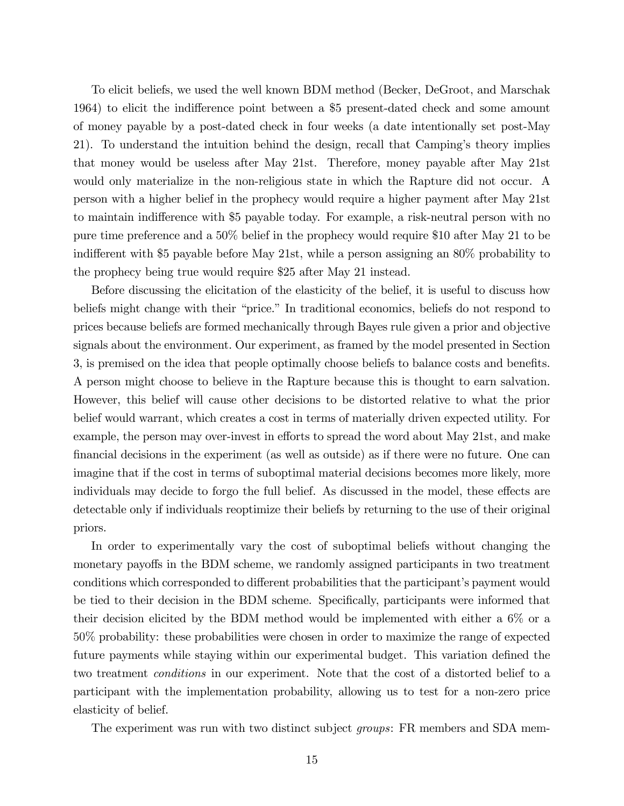To elicit beliefs, we used the well known BDM method (Becker, DeGroot, and Marschak 1964) to elicit the indifference point between a \$5 present-dated check and some amount of money payable by a post-dated check in four weeks (a date intentionally set post-May 21). To understand the intuition behind the design, recall that Camping's theory implies that money would be useless after May 21st. Therefore, money payable after May 21st would only materialize in the non-religious state in which the Rapture did not occur. A person with a higher belief in the prophecy would require a higher payment after May 21st to maintain indifference with \$5 payable today. For example, a risk-neutral person with no pure time preference and a 50% belief in the prophecy would require \$10 after May 21 to be indifferent with \$5 payable before May 21st, while a person assigning an 80% probability to the prophecy being true would require \$25 after May 21 instead.

Before discussing the elicitation of the elasticity of the belief, it is useful to discuss how beliefs might change with their "price." In traditional economics, beliefs do not respond to prices because beliefs are formed mechanically through Bayes rule given a prior and objective signals about the environment. Our experiment, as framed by the model presented in Section 3, is premised on the idea that people optimally choose beliefs to balance costs and benefits. A person might choose to believe in the Rapture because this is thought to earn salvation. However, this belief will cause other decisions to be distorted relative to what the prior belief would warrant, which creates a cost in terms of materially driven expected utility. For example, the person may over-invest in efforts to spread the word about May 21st, and make financial decisions in the experiment (as well as outside) as if there were no future. One can imagine that if the cost in terms of suboptimal material decisions becomes more likely, more individuals may decide to forgo the full belief. As discussed in the model, these effects are detectable only if individuals reoptimize their beliefs by returning to the use of their original priors.

In order to experimentally vary the cost of suboptimal beliefs without changing the monetary payoffs in the BDM scheme, we randomly assigned participants in two treatment conditions which corresponded to different probabilities that the participant's payment would be tied to their decision in the BDM scheme. Specifically, participants were informed that their decision elicited by the BDM method would be implemented with either a 6% or a 50% probability: these probabilities were chosen in order to maximize the range of expected future payments while staying within our experimental budget. This variation defined the two treatment conditions in our experiment. Note that the cost of a distorted belief to a participant with the implementation probability, allowing us to test for a non-zero price elasticity of belief.

The experiment was run with two distinct subject *groups*: FR members and SDA mem-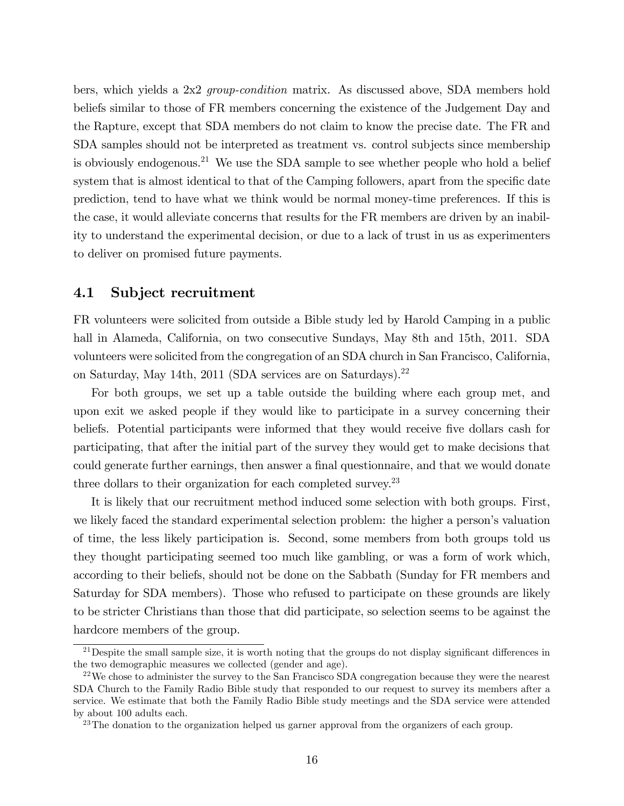bers, which yields a 2x2 group-condition matrix. As discussed above, SDA members hold beliefs similar to those of FR members concerning the existence of the Judgement Day and the Rapture, except that SDA members do not claim to know the precise date. The FR and SDA samples should not be interpreted as treatment vs. control subjects since membership is obviously endogenous.<sup>21</sup> We use the SDA sample to see whether people who hold a belief system that is almost identical to that of the Camping followers, apart from the specific date prediction, tend to have what we think would be normal money-time preferences. If this is the case, it would alleviate concerns that results for the FR members are driven by an inability to understand the experimental decision, or due to a lack of trust in us as experimenters to deliver on promised future payments.

### 4.1 Subject recruitment

FR volunteers were solicited from outside a Bible study led by Harold Camping in a public hall in Alameda, California, on two consecutive Sundays, May 8th and 15th, 2011. SDA volunteers were solicited from the congregation of an SDA church in San Francisco, California, on Saturday, May 14th, 2011 (SDA services are on Saturdays).<sup>22</sup>

For both groups, we set up a table outside the building where each group met, and upon exit we asked people if they would like to participate in a survey concerning their beliefs. Potential participants were informed that they would receive five dollars cash for participating, that after the initial part of the survey they would get to make decisions that could generate further earnings, then answer a final questionnaire, and that we would donate three dollars to their organization for each completed survey.<sup>23</sup>

It is likely that our recruitment method induced some selection with both groups. First, we likely faced the standard experimental selection problem: the higher a person's valuation of time, the less likely participation is. Second, some members from both groups told us they thought participating seemed too much like gambling, or was a form of work which, according to their beliefs, should not be done on the Sabbath (Sunday for FR members and Saturday for SDA members). Those who refused to participate on these grounds are likely to be stricter Christians than those that did participate, so selection seems to be against the hardcore members of the group.

<sup>&</sup>lt;sup>21</sup>Despite the small sample size, it is worth noting that the groups do not display significant differences in the two demographic measures we collected (gender and age).

 $22$ We chose to administer the survey to the San Francisco SDA congregation because they were the nearest SDA Church to the Family Radio Bible study that responded to our request to survey its members after a service. We estimate that both the Family Radio Bible study meetings and the SDA service were attended by about 100 adults each.

 $23$ The donation to the organization helped us garner approval from the organizers of each group.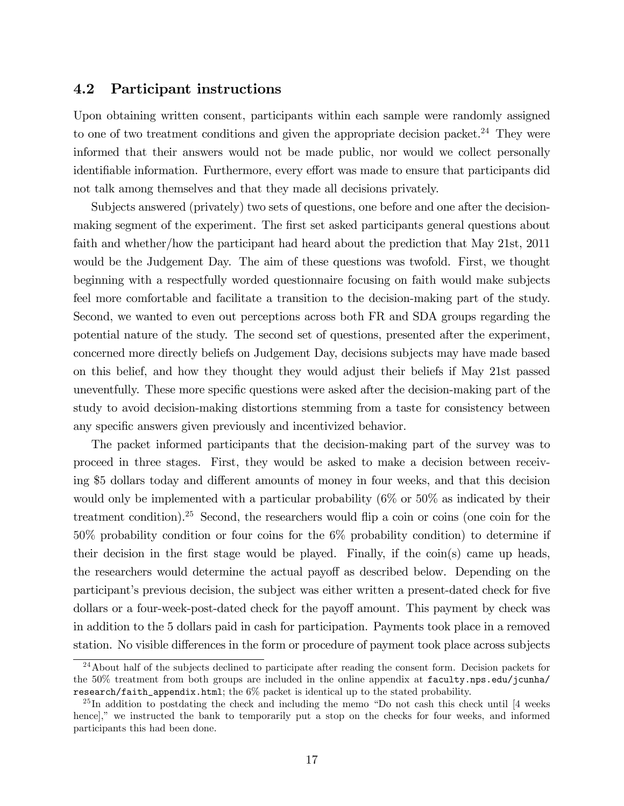### 4.2 Participant instructions

Upon obtaining written consent, participants within each sample were randomly assigned to one of two treatment conditions and given the appropriate decision packet.<sup>24</sup> They were informed that their answers would not be made public, nor would we collect personally identifiable information. Furthermore, every effort was made to ensure that participants did not talk among themselves and that they made all decisions privately.

Subjects answered (privately) two sets of questions, one before and one after the decisionmaking segment of the experiment. The first set asked participants general questions about faith and whether/how the participant had heard about the prediction that May 21st, 2011 would be the Judgement Day. The aim of these questions was twofold. First, we thought beginning with a respectfully worded questionnaire focusing on faith would make subjects feel more comfortable and facilitate a transition to the decision-making part of the study. Second, we wanted to even out perceptions across both FR and SDA groups regarding the potential nature of the study. The second set of questions, presented after the experiment, concerned more directly beliefs on Judgement Day, decisions subjects may have made based on this belief, and how they thought they would adjust their beliefs if May 21st passed uneventfully. These more specific questions were asked after the decision-making part of the study to avoid decision-making distortions stemming from a taste for consistency between any specific answers given previously and incentivized behavior.

The packet informed participants that the decision-making part of the survey was to proceed in three stages. First, they would be asked to make a decision between receiving \$5 dollars today and different amounts of money in four weeks, and that this decision would only be implemented with a particular probability (6\%) or 50\% as indicated by their treatment condition).<sup>25</sup> Second, the researchers would flip a coin or coins (one coin for the 50% probability condition or four coins for the 6% probability condition) to determine if their decision in the first stage would be played. Finally, if the  $\text{coin}(s)$  came up heads, the researchers would determine the actual payoff as described below. Depending on the participant's previous decision, the subject was either written a present-dated check for five dollars or a four-week-post-dated check for the payoff amount. This payment by check was in addition to the 5 dollars paid in cash for participation. Payments took place in a removed station. No visible differences in the form or procedure of payment took place across subjects

<sup>&</sup>lt;sup>24</sup>About half of the subjects declined to participate after reading the consent form. Decision packets for the 50% treatment from both groups are included in the online appendix at faculty.nps.edu/jcunha/ research/faith\_appendix.html; the 6% packet is identical up to the stated probability.

 $^{25}$ In addition to postdating the check and including the memo "Do not cash this check until [4 weeks hence]," we instructed the bank to temporarily put a stop on the checks for four weeks, and informed participants this had been done.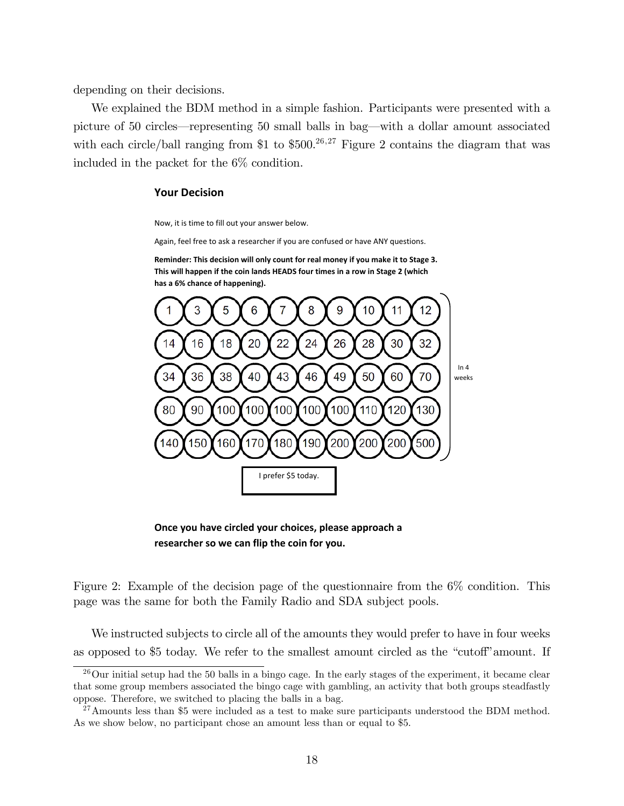depending on their decisions.

We explained the BDM method in a simple fashion. Participants were presented with a picture of 50 circles—representing 50 small balls in bag—with a dollar amount associated with each circle/ball ranging from \$1 to  $$500.<sup>26,27</sup>$  Figure 2 contains the diagram that was included in the packet for the 6% condition.

#### **Your%Decision**

Now, it is time to fill out your answer below.

Again, feel free to ask a researcher if you are confused or have ANY questions.

Reminder: This decision will only count for real money if you make it to Stage 3. This will happen if the coin lands HEADS four times in a row in Stage 2 (which has a 6% chance of happening).



**Once you have circled your choices, please approach a** researcher so we can flip the coin for you.

Figure 2: Example of the decision page of the questionnaire from the  $6\%$  condition. This page was the same for both the Family Radio and SDA subject pools.

We instructed subjects to circle all of the amounts they would prefer to have in four weeks as opposed to \$5 today. We refer to the smallest amount circled as the "cutoff" amount. If

 $^{26}$ Our initial setup had the 50 balls in a bingo cage. In the early stages of the experiment, it became clear that some group members associated the bingo cage with gambling, an activity that both groups steadfastly oppose. Therefore, we switched to placing the balls in a bag.

 $^{27}$ Amounts less than \$5 were included as a test to make sure participants understood the BDM method. As we show below, no participant chose an amount less than or equal to \$5.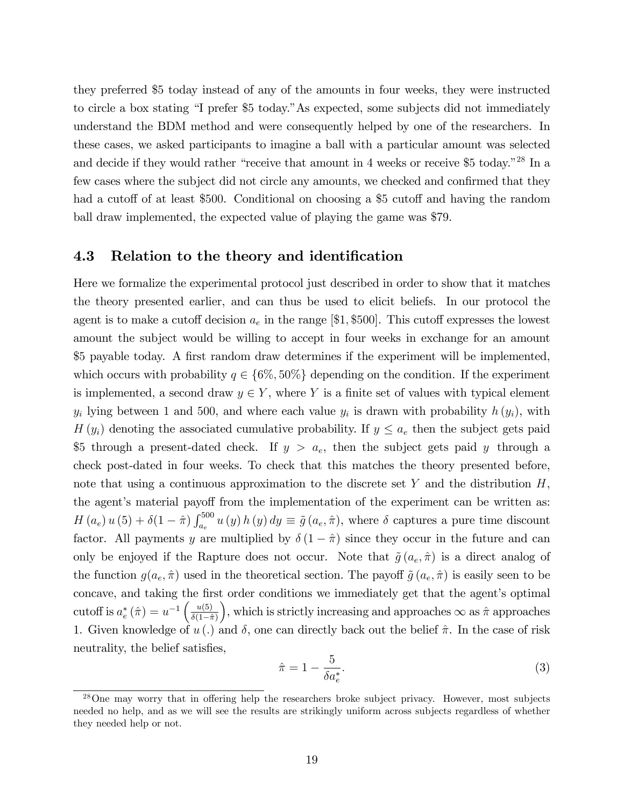they preferred \$5 today instead of any of the amounts in four weeks, they were instructed to circle a box stating "I prefer \$5 today." As expected, some subjects did not immediately understand the BDM method and were consequently helped by one of the researchers. In these cases, we asked participants to imagine a ball with a particular amount was selected and decide if they would rather "receive that amount in 4 weeks or receive \$5 today."<sup>28</sup> In a few cases where the subject did not circle any amounts, we checked and confirmed that they had a cutoff of at least \$500. Conditional on choosing a \$5 cutoff and having the random ball draw implemented, the expected value of playing the game was \$79.

### 4.3 Relation to the theory and identification

Here we formalize the experimental protocol just described in order to show that it matches the theory presented earlier, and can thus be used to elicit beliefs. In our protocol the agent is to make a cutoff decision  $a_e$  in the range [\$1, \$500]. This cutoff expresses the lowest amount the subject would be willing to accept in four weeks in exchange for an amount \$5 payable today. A first random draw determines if the experiment will be implemented, which occurs with probability  $q \in \{6\%, 50\% \}$  depending on the condition. If the experiment is implemented, a second draw  $y \in Y$ , where Y is a finite set of values with typical element  $y_i$  lying between 1 and 500, and where each value  $y_i$  is drawn with probability  $h(y_i)$ , with  $H(y_i)$  denoting the associated cumulative probability. If  $y \leq a_e$  then the subject gets paid \$5 through a present-dated check. If  $y > a_e$ , then the subject gets paid y through a check post-dated in four weeks. To check that this matches the theory presented before, note that using a continuous approximation to the discrete set Y and the distribution  $H$ , the agent's material payoff from the implementation of the experiment can be written as:  $H(a_e) u (5) + \delta (1 - \hat{\pi}) \int_{a_e}^{500} u (y) h (y) dy \equiv \tilde{g}(a_e, \hat{\pi}),$  where  $\delta$  captures a pure time discount factor. All payments y are multiplied by  $\delta(1 - \hat{\pi})$  since they occur in the future and can only be enjoyed if the Rapture does not occur. Note that  $\tilde{g}(a_e, \hat{\pi})$  is a direct analog of the function  $g(a_e, \hat{\pi})$  used in the theoretical section. The payoff  $\tilde{g}(a_e, \hat{\pi})$  is easily seen to be concave, and taking the first order conditions we immediately get that the agent's optimal cutoff is  $a_e^* (\hat{\pi}) = u^{-1} \left( \frac{u(5)}{\delta(1-\hat{\pi})} \right)$  $\delta(1-\hat{\pi})$ ), which is strictly increasing and approaches  $\infty$  as  $\hat{\pi}$  approaches 1. Given knowledge of  $u(.)$  and  $\delta$ , one can directly back out the belief  $\hat{\pi}$ . In the case of risk neutrality, the belief satisfies,

$$
\hat{\pi} = 1 - \frac{5}{\delta a_e^*}.\tag{3}
$$

 $28$ One may worry that in offering help the researchers broke subject privacy. However, most subjects needed no help, and as we will see the results are strikingly uniform across subjects regardless of whether they needed help or not.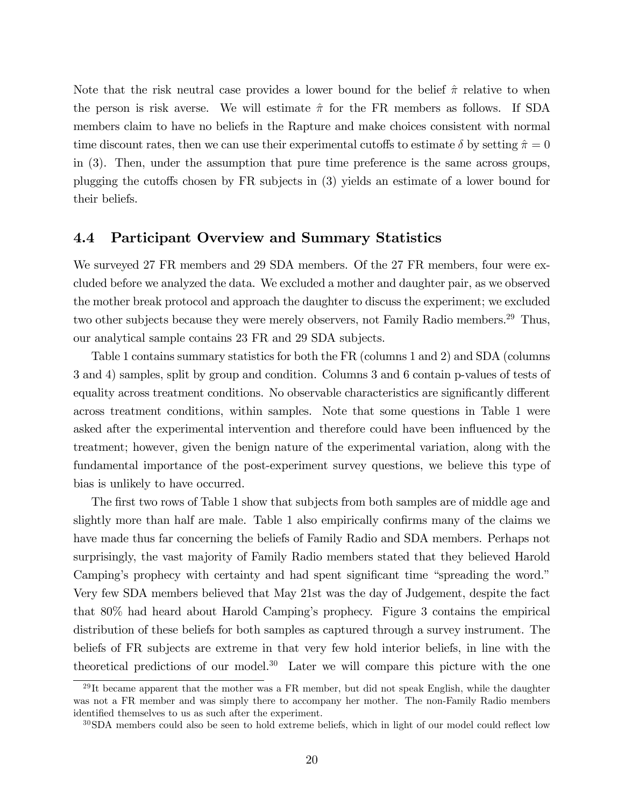Note that the risk neutral case provides a lower bound for the belief  $\hat{\pi}$  relative to when the person is risk averse. We will estimate  $\hat{\pi}$  for the FR members as follows. If SDA members claim to have no beliefs in the Rapture and make choices consistent with normal time discount rates, then we can use their experimental cutoffs to estimate  $\delta$  by setting  $\hat{\pi} = 0$ in (3). Then, under the assumption that pure time preference is the same across groups, plugging the cutoffs chosen by  $FR$  subjects in  $(3)$  yields an estimate of a lower bound for their beliefs.

### 4.4 Participant Overview and Summary Statistics

We surveyed 27 FR members and 29 SDA members. Of the 27 FR members, four were excluded before we analyzed the data. We excluded a mother and daughter pair, as we observed the mother break protocol and approach the daughter to discuss the experiment; we excluded two other subjects because they were merely observers, not Family Radio members.<sup>29</sup> Thus, our analytical sample contains 23 FR and 29 SDA subjects.

Table 1 contains summary statistics for both the FR (columns 1 and 2) and SDA (columns 3 and 4) samples, split by group and condition. Columns 3 and 6 contain p-values of tests of equality across treatment conditions. No observable characteristics are significantly different across treatment conditions, within samples. Note that some questions in Table 1 were asked after the experimental intervention and therefore could have been influenced by the treatment; however, given the benign nature of the experimental variation, along with the fundamental importance of the post-experiment survey questions, we believe this type of bias is unlikely to have occurred.

The first two rows of Table 1 show that subjects from both samples are of middle age and slightly more than half are male. Table 1 also empirically confirms many of the claims we have made thus far concerning the beliefs of Family Radio and SDA members. Perhaps not surprisingly, the vast majority of Family Radio members stated that they believed Harold Camping's prophecy with certainty and had spent significant time "spreading the word." Very few SDA members believed that May 21st was the day of Judgement, despite the fact that 80% had heard about Harold Campingís prophecy. Figure 3 contains the empirical distribution of these beliefs for both samples as captured through a survey instrument. The beliefs of FR subjects are extreme in that very few hold interior beliefs, in line with the theoretical predictions of our model.<sup>30</sup> Later we will compare this picture with the one

 $29$ It became apparent that the mother was a FR member, but did not speak English, while the daughter was not a FR member and was simply there to accompany her mother. The non-Family Radio members identified themselves to us as such after the experiment.

 $30$ SDA members could also be seen to hold extreme beliefs, which in light of our model could reflect low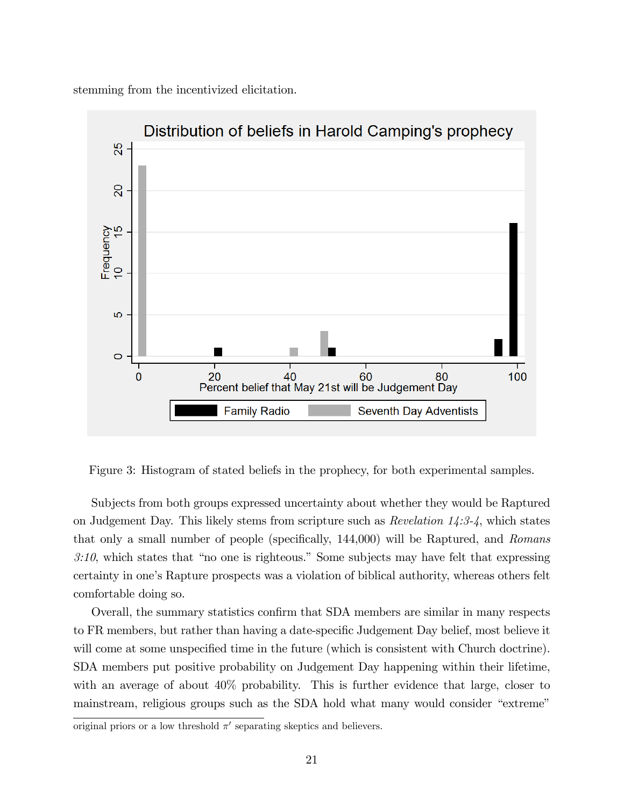stemming from the incentivized elicitation.



Figure 3: Histogram of stated beliefs in the prophecy, for both experimental samples.

Subjects from both groups expressed uncertainty about whether they would be Raptured on Judgement Day. This likely stems from scripture such as Revelation 14:3-4, which states that only a small number of people (specifically, 144,000) will be Raptured, and Romans  $3:10$ , which states that "no one is righteous." Some subjects may have felt that expressing certainty in one's Rapture prospects was a violation of biblical authority, whereas others felt comfortable doing so.

Overall, the summary statistics confirm that SDA members are similar in many respects to FR members, but rather than having a date-specific Judgement Day belief, most believe it will come at some unspecified time in the future (which is consistent with Church doctrine). SDA members put positive probability on Judgement Day happening within their lifetime, with an average of about  $40\%$  probability. This is further evidence that large, closer to mainstream, religious groups such as the SDA hold what many would consider "extreme"

original priors or a low threshold  $\pi'$  separating skeptics and believers.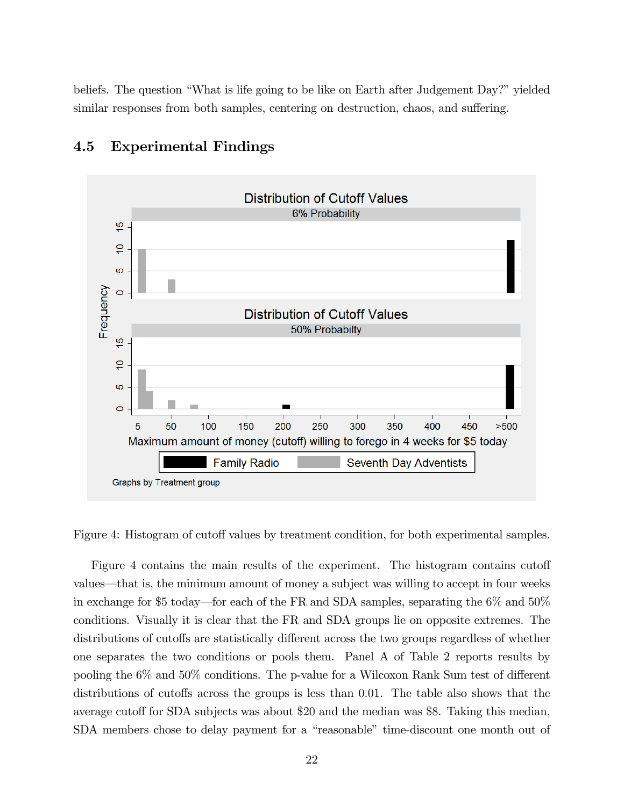beliefs. The question "What is life going to be like on Earth after Judgement Day?" yielded similar responses from both samples, centering on destruction, chaos, and suffering.



### 4.5 Experimental Findings

Figure 4: Histogram of cutoff values by treatment condition, for both experimental samples.

Figure 4 contains the main results of the experiment. The histogram contains cutoff values—that is, the minimum amount of money a subject was willing to accept in four weeks in exchange for \$5 today—for each of the FR and SDA samples, separating the  $6\%$  and  $50\%$ conditions. Visually it is clear that the FR and SDA groups lie on opposite extremes. The distributions of cutoffs are statistically different across the two groups regardless of whether one separates the two conditions or pools them. Panel A of Table 2 reports results by pooling the  $6\%$  and  $50\%$  conditions. The p-value for a Wilcoxon Rank Sum test of different distributions of cutoffs across the groups is less than 0.01. The table also shows that the average cutoff for SDA subjects was about \$20 and the median was \$8. Taking this median, SDA members chose to delay payment for a "reasonable" time-discount one month out of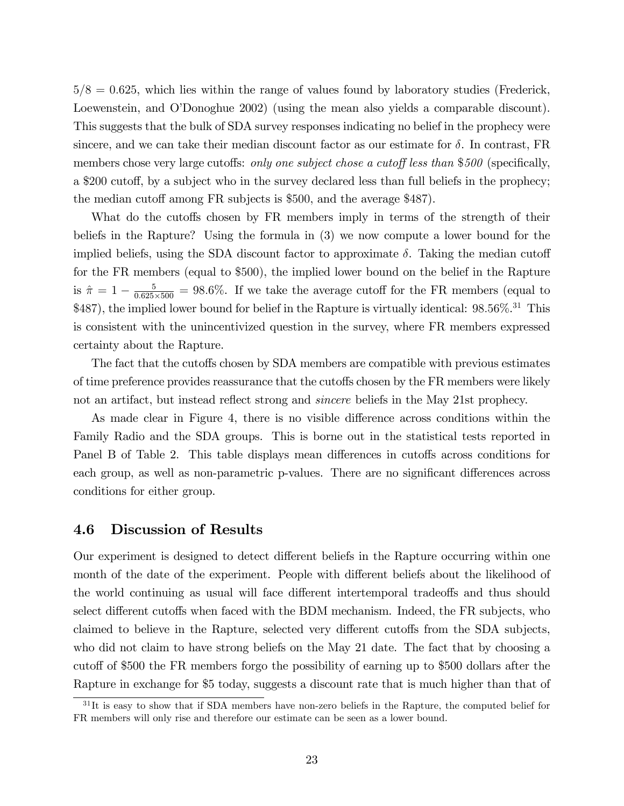$5/8 = 0.625$ , which lies within the range of values found by laboratory studies (Frederick, Loewenstein, and O'Donoghue 2002) (using the mean also yields a comparable discount). This suggests that the bulk of SDA survey responses indicating no belief in the prophecy were sincere, and we can take their median discount factor as our estimate for  $\delta$ . In contrast, FR members chose very large cutoffs: only one subject chose a cutoff less than  $$500$  (specifically, a \$200 cutoff, by a subject who in the survey declared less than full beliefs in the prophecy; the median cutoff among FR subjects is \$500, and the average \$487).

What do the cutoffs chosen by FR members imply in terms of the strength of their beliefs in the Rapture? Using the formula in (3) we now compute a lower bound for the implied beliefs, using the SDA discount factor to approximate  $\delta$ . Taking the median cutoff for the FR members (equal to \$500), the implied lower bound on the belief in the Rapture is  $\hat{\pi} = 1 - \frac{5}{0.625}$  $\frac{5}{0.625\times500}$  = 98.6%. If we take the average cutoff for the FR members (equal to \$487), the implied lower bound for belief in the Rapture is virtually identical: 98.56%.<sup>31</sup> This is consistent with the unincentivized question in the survey, where FR members expressed certainty about the Rapture.

The fact that the cutoffs chosen by SDA members are compatible with previous estimates of time preference provides reassurance that the cutoffs chosen by the FR members were likely not an artifact, but instead reflect strong and *sincere* beliefs in the May 21st prophecy.

As made clear in Figure 4, there is no visible difference across conditions within the Family Radio and the SDA groups. This is borne out in the statistical tests reported in Panel B of Table 2. This table displays mean differences in cutoffs across conditions for each group, as well as non-parametric p-values. There are no significant differences across conditions for either group.

#### 4.6 Discussion of Results

Our experiment is designed to detect different beliefs in the Rapture occurring within one month of the date of the experiment. People with different beliefs about the likelihood of the world continuing as usual will face different intertemporal tradeoffs and thus should select different cutoffs when faced with the BDM mechanism. Indeed, the FR subjects, who claimed to believe in the Rapture, selected very different cutoffs from the SDA subjects, who did not claim to have strong beliefs on the May 21 date. The fact that by choosing a cutoff of \$500 the FR members forgo the possibility of earning up to \$500 dollars after the Rapture in exchange for \$5 today, suggests a discount rate that is much higher than that of

<sup>&</sup>lt;sup>31</sup>It is easy to show that if SDA members have non-zero beliefs in the Rapture, the computed belief for FR members will only rise and therefore our estimate can be seen as a lower bound.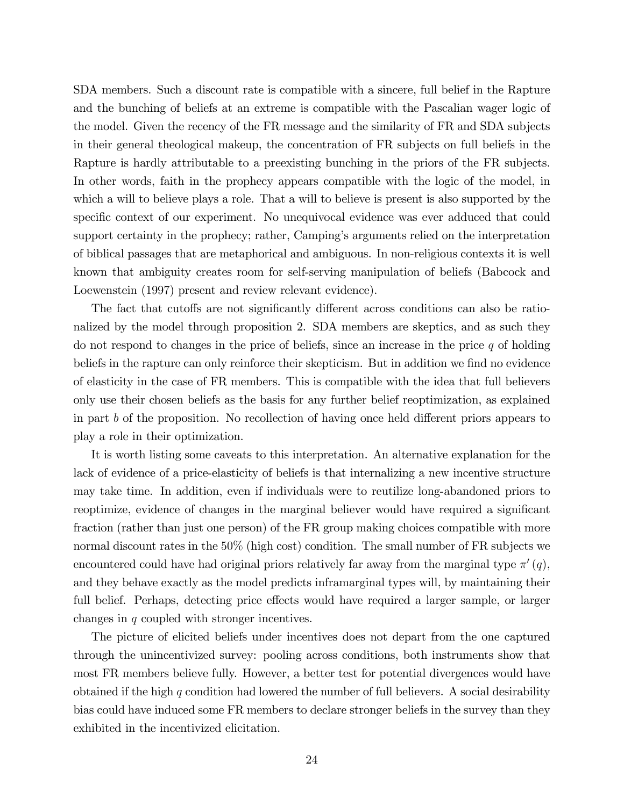SDA members. Such a discount rate is compatible with a sincere, full belief in the Rapture and the bunching of beliefs at an extreme is compatible with the Pascalian wager logic of the model. Given the recency of the FR message and the similarity of FR and SDA subjects in their general theological makeup, the concentration of FR subjects on full beliefs in the Rapture is hardly attributable to a preexisting bunching in the priors of the FR subjects. In other words, faith in the prophecy appears compatible with the logic of the model, in which a will to believe plays a role. That a will to believe is present is also supported by the specific context of our experiment. No unequivocal evidence was ever adduced that could support certainty in the prophecy; rather, Camping's arguments relied on the interpretation of biblical passages that are metaphorical and ambiguous. In non-religious contexts it is well known that ambiguity creates room for self-serving manipulation of beliefs (Babcock and Loewenstein (1997) present and review relevant evidence).

The fact that cutoffs are not significantly different across conditions can also be rationalized by the model through proposition 2. SDA members are skeptics, and as such they do not respond to changes in the price of beliefs, since an increase in the price  $q$  of holding beliefs in the rapture can only reinforce their skepticism. But in addition we find no evidence of elasticity in the case of FR members. This is compatible with the idea that full believers only use their chosen beliefs as the basis for any further belief reoptimization, as explained in part b of the proposition. No recollection of having once held different priors appears to play a role in their optimization.

It is worth listing some caveats to this interpretation. An alternative explanation for the lack of evidence of a price-elasticity of beliefs is that internalizing a new incentive structure may take time. In addition, even if individuals were to reutilize long-abandoned priors to reoptimize, evidence of changes in the marginal believer would have required a significant fraction (rather than just one person) of the FR group making choices compatible with more normal discount rates in the 50% (high cost) condition. The small number of FR subjects we encountered could have had original priors relatively far away from the marginal type  $\pi'(q)$ , and they behave exactly as the model predicts inframarginal types will, by maintaining their full belief. Perhaps, detecting price effects would have required a larger sample, or larger changes in q coupled with stronger incentives.

The picture of elicited beliefs under incentives does not depart from the one captured through the unincentivized survey: pooling across conditions, both instruments show that most FR members believe fully. However, a better test for potential divergences would have obtained if the high q condition had lowered the number of full believers. A social desirability bias could have induced some FR members to declare stronger beliefs in the survey than they exhibited in the incentivized elicitation.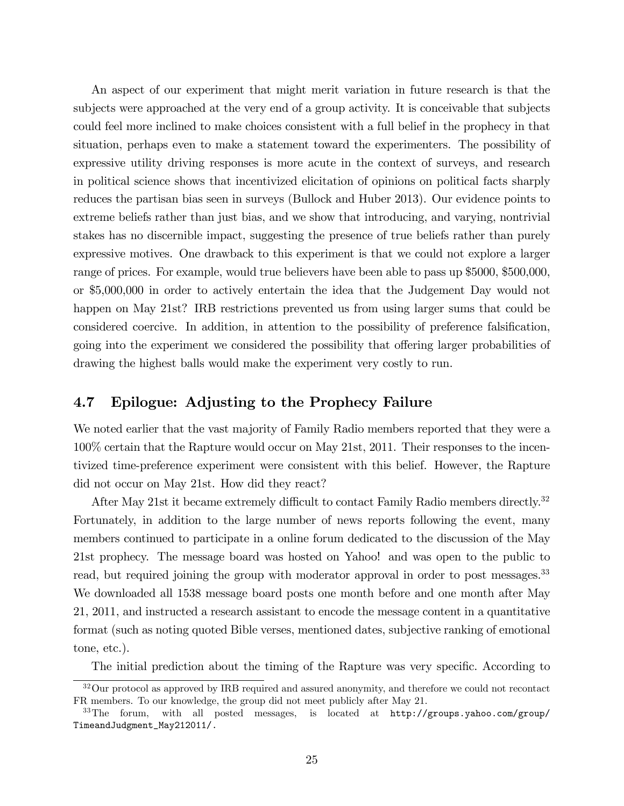An aspect of our experiment that might merit variation in future research is that the subjects were approached at the very end of a group activity. It is conceivable that subjects could feel more inclined to make choices consistent with a full belief in the prophecy in that situation, perhaps even to make a statement toward the experimenters. The possibility of expressive utility driving responses is more acute in the context of surveys, and research in political science shows that incentivized elicitation of opinions on political facts sharply reduces the partisan bias seen in surveys (Bullock and Huber 2013). Our evidence points to extreme beliefs rather than just bias, and we show that introducing, and varying, nontrivial stakes has no discernible impact, suggesting the presence of true beliefs rather than purely expressive motives. One drawback to this experiment is that we could not explore a larger range of prices. For example, would true believers have been able to pass up \$5000, \$500,000, or \$5,000,000 in order to actively entertain the idea that the Judgement Day would not happen on May 21st? IRB restrictions prevented us from using larger sums that could be considered coercive. In addition, in attention to the possibility of preference falsification, going into the experiment we considered the possibility that offering larger probabilities of drawing the highest balls would make the experiment very costly to run.

### 4.7 Epilogue: Adjusting to the Prophecy Failure

We noted earlier that the vast majority of Family Radio members reported that they were a 100% certain that the Rapture would occur on May 21st, 2011. Their responses to the incentivized time-preference experiment were consistent with this belief. However, the Rapture did not occur on May 21st. How did they react?

After May 21st it became extremely difficult to contact Family Radio members directly.<sup>32</sup> Fortunately, in addition to the large number of news reports following the event, many members continued to participate in a online forum dedicated to the discussion of the May 21st prophecy. The message board was hosted on Yahoo! and was open to the public to read, but required joining the group with moderator approval in order to post messages.<sup>33</sup> We downloaded all 1538 message board posts one month before and one month after May 21, 2011, and instructed a research assistant to encode the message content in a quantitative format (such as noting quoted Bible verses, mentioned dates, subjective ranking of emotional tone, etc.).

The initial prediction about the timing of the Rapture was very specific. According to

<sup>32</sup>Our protocol as approved by IRB required and assured anonymity, and therefore we could not recontact FR members. To our knowledge, the group did not meet publicly after May 21.

<sup>33</sup>The forum, with all posted messages, is located at http://groups.yahoo.com/group/ TimeandJudgment\_May212011/.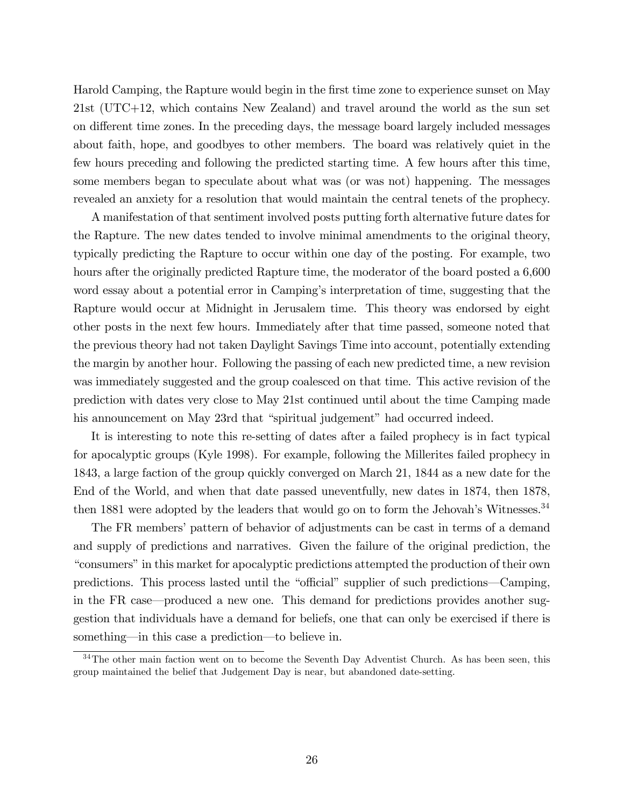Harold Camping, the Rapture would begin in the first time zone to experience sunset on May 21st (UTC+12, which contains New Zealand) and travel around the world as the sun set on different time zones. In the preceding days, the message board largely included messages about faith, hope, and goodbyes to other members. The board was relatively quiet in the few hours preceding and following the predicted starting time. A few hours after this time, some members began to speculate about what was (or was not) happening. The messages revealed an anxiety for a resolution that would maintain the central tenets of the prophecy.

A manifestation of that sentiment involved posts putting forth alternative future dates for the Rapture. The new dates tended to involve minimal amendments to the original theory, typically predicting the Rapture to occur within one day of the posting. For example, two hours after the originally predicted Rapture time, the moderator of the board posted a 6,600 word essay about a potential error in Camping's interpretation of time, suggesting that the Rapture would occur at Midnight in Jerusalem time. This theory was endorsed by eight other posts in the next few hours. Immediately after that time passed, someone noted that the previous theory had not taken Daylight Savings Time into account, potentially extending the margin by another hour. Following the passing of each new predicted time, a new revision was immediately suggested and the group coalesced on that time. This active revision of the prediction with dates very close to May 21st continued until about the time Camping made his announcement on May 23rd that "spiritual judgement" had occurred indeed.

It is interesting to note this re-setting of dates after a failed prophecy is in fact typical for apocalyptic groups (Kyle 1998). For example, following the Millerites failed prophecy in 1843, a large faction of the group quickly converged on March 21, 1844 as a new date for the End of the World, and when that date passed uneventfully, new dates in 1874, then 1878, then 1881 were adopted by the leaders that would go on to form the Jehovah's Witnesses. $34$ 

The FR members' pattern of behavior of adjustments can be cast in terms of a demand and supply of predictions and narratives. Given the failure of the original prediction, the ìconsumersîin this market for apocalyptic predictions attempted the production of their own predictions. This process lasted until the "official" supplier of such predictions—Camping, in the FR case—produced a new one. This demand for predictions provides another suggestion that individuals have a demand for beliefs, one that can only be exercised if there is something—in this case a prediction—to believe in.

<sup>&</sup>lt;sup>34</sup>The other main faction went on to become the Seventh Day Adventist Church. As has been seen, this group maintained the belief that Judgement Day is near, but abandoned date-setting.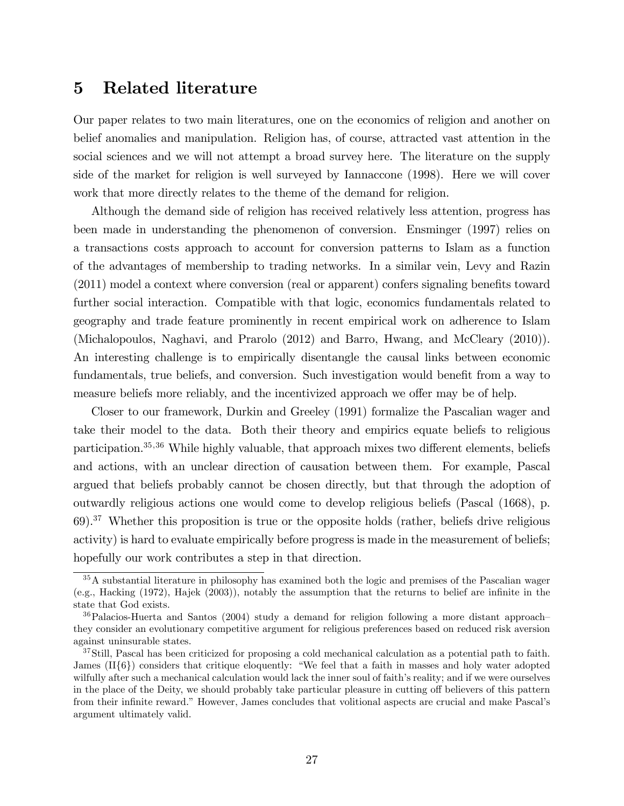# 5 Related literature

Our paper relates to two main literatures, one on the economics of religion and another on belief anomalies and manipulation. Religion has, of course, attracted vast attention in the social sciences and we will not attempt a broad survey here. The literature on the supply side of the market for religion is well surveyed by Iannaccone (1998). Here we will cover work that more directly relates to the theme of the demand for religion.

Although the demand side of religion has received relatively less attention, progress has been made in understanding the phenomenon of conversion. Ensminger (1997) relies on a transactions costs approach to account for conversion patterns to Islam as a function of the advantages of membership to trading networks. In a similar vein, Levy and Razin  $(2011)$  model a context where conversion (real or apparent) confers signaling benefits toward further social interaction. Compatible with that logic, economics fundamentals related to geography and trade feature prominently in recent empirical work on adherence to Islam (Michalopoulos, Naghavi, and Prarolo (2012) and Barro, Hwang, and McCleary (2010)). An interesting challenge is to empirically disentangle the causal links between economic fundamentals, true beliefs, and conversion. Such investigation would benefit from a way to measure beliefs more reliably, and the incentivized approach we offer may be of help.

Closer to our framework, Durkin and Greeley (1991) formalize the Pascalian wager and take their model to the data. Both their theory and empirics equate beliefs to religious participation. $35,36$  While highly valuable, that approach mixes two different elements, beliefs and actions, with an unclear direction of causation between them. For example, Pascal argued that beliefs probably cannot be chosen directly, but that through the adoption of outwardly religious actions one would come to develop religious beliefs (Pascal (1668), p. 69).<sup>37</sup> Whether this proposition is true or the opposite holds (rather, beliefs drive religious activity) is hard to evaluate empirically before progress is made in the measurement of beliefs; hopefully our work contributes a step in that direction.

<sup>35</sup>A substantial literature in philosophy has examined both the logic and premises of the Pascalian wager (e.g., Hacking (1972), Hajek (2003)), notably the assumption that the returns to belief are inÖnite in the state that God exists.

 $36$ Palacios-Huerta and Santos (2004) study a demand for religion following a more distant approachthey consider an evolutionary competitive argument for religious preferences based on reduced risk aversion against uninsurable states.

<sup>&</sup>lt;sup>37</sup>Still, Pascal has been criticized for proposing a cold mechanical calculation as a potential path to faith. James  $(II\{6\})$  considers that critique eloquently: "We feel that a faith in masses and holy water adopted wilfully after such a mechanical calculation would lack the inner soul of faith's reality; and if we were ourselves in the place of the Deity, we should probably take particular pleasure in cutting off believers of this pattern from their infinite reward." However, James concludes that volitional aspects are crucial and make Pascal's argument ultimately valid.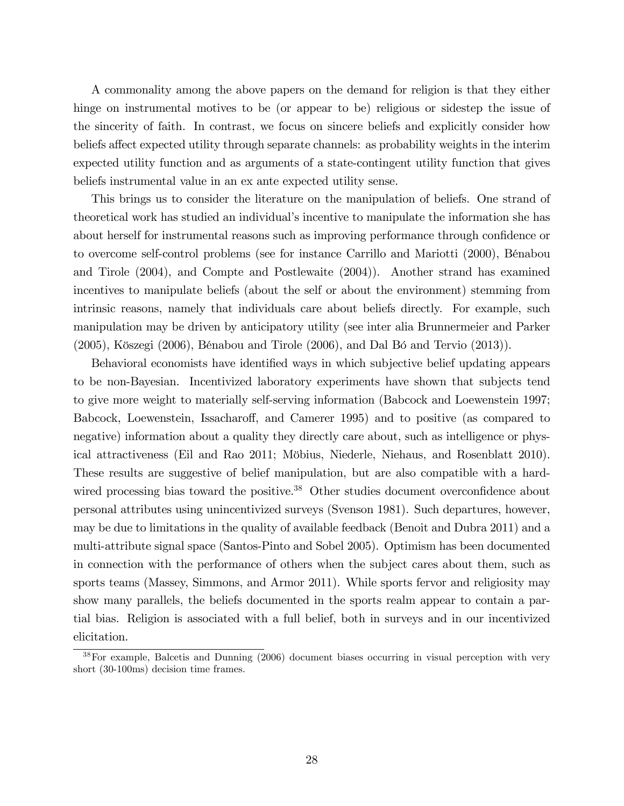A commonality among the above papers on the demand for religion is that they either hinge on instrumental motives to be (or appear to be) religious or sidestep the issue of the sincerity of faith. In contrast, we focus on sincere beliefs and explicitly consider how beliefs affect expected utility through separate channels: as probability weights in the interim expected utility function and as arguments of a state-contingent utility function that gives beliefs instrumental value in an ex ante expected utility sense.

This brings us to consider the literature on the manipulation of beliefs. One strand of theoretical work has studied an individual's incentive to manipulate the information she has about herself for instrumental reasons such as improving performance through confidence or to overcome self-control problems (see for instance Carrillo and Mariotti (2000), BÈnabou and Tirole (2004), and Compte and Postlewaite (2004)). Another strand has examined incentives to manipulate beliefs (about the self or about the environment) stemming from intrinsic reasons, namely that individuals care about beliefs directly. For example, such manipulation may be driven by anticipatory utility (see inter alia Brunnermeier and Parker  $(2005)$ , Köszegi  $(2006)$ , Bénabou and Tirole  $(2006)$ , and Dal Bó and Tervio  $(2013)$ ).

Behavioral economists have identified ways in which subjective belief updating appears to be non-Bayesian. Incentivized laboratory experiments have shown that subjects tend to give more weight to materially self-serving information (Babcock and Loewenstein 1997; Babcock, Loewenstein, Issacharoff, and Camerer 1995) and to positive (as compared to negative) information about a quality they directly care about, such as intelligence or physical attractiveness (Eil and Rao 2011; Möbius, Niederle, Niehaus, and Rosenblatt 2010). These results are suggestive of belief manipulation, but are also compatible with a hardwired processing bias toward the positive.<sup>38</sup> Other studies document overconfidence about personal attributes using unincentivized surveys (Svenson 1981). Such departures, however, may be due to limitations in the quality of available feedback (Benoit and Dubra 2011) and a multi-attribute signal space (Santos-Pinto and Sobel 2005). Optimism has been documented in connection with the performance of others when the subject cares about them, such as sports teams (Massey, Simmons, and Armor 2011). While sports fervor and religiosity may show many parallels, the beliefs documented in the sports realm appear to contain a partial bias. Religion is associated with a full belief, both in surveys and in our incentivized elicitation.

<sup>&</sup>lt;sup>38</sup>For example, Balcetis and Dunning (2006) document biases occurring in visual perception with very short (30-100ms) decision time frames.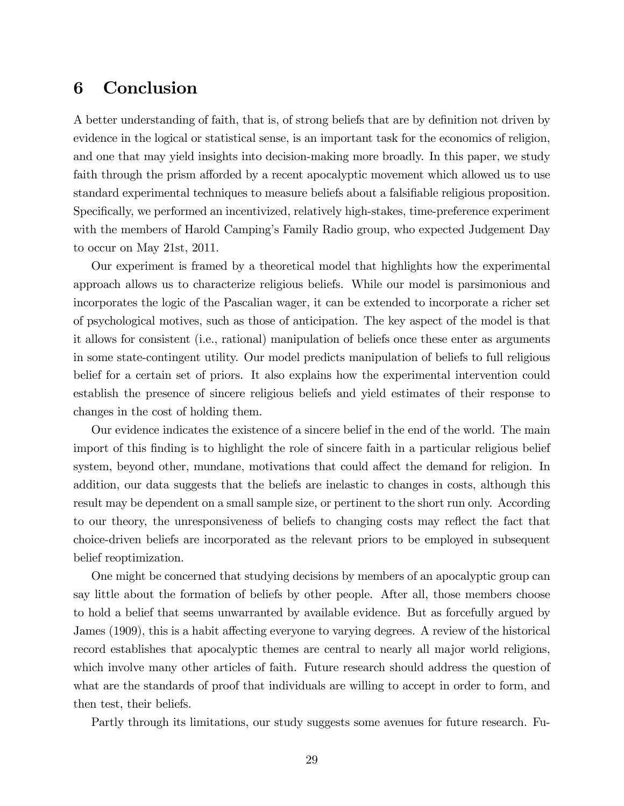# 6 Conclusion

A better understanding of faith, that is, of strong beliefs that are by definition not driven by evidence in the logical or statistical sense, is an important task for the economics of religion, and one that may yield insights into decision-making more broadly. In this paper, we study faith through the prism afforded by a recent apocalyptic movement which allowed us to use standard experimental techniques to measure beliefs about a falsifiable religious proposition. Specifically, we performed an incentivized, relatively high-stakes, time-preference experiment with the members of Harold Camping's Family Radio group, who expected Judgement Day to occur on May 21st, 2011.

Our experiment is framed by a theoretical model that highlights how the experimental approach allows us to characterize religious beliefs. While our model is parsimonious and incorporates the logic of the Pascalian wager, it can be extended to incorporate a richer set of psychological motives, such as those of anticipation. The key aspect of the model is that it allows for consistent (i.e., rational) manipulation of beliefs once these enter as arguments in some state-contingent utility. Our model predicts manipulation of beliefs to full religious belief for a certain set of priors. It also explains how the experimental intervention could establish the presence of sincere religious beliefs and yield estimates of their response to changes in the cost of holding them.

Our evidence indicates the existence of a sincere belief in the end of the world. The main import of this finding is to highlight the role of sincere faith in a particular religious belief system, beyond other, mundane, motivations that could affect the demand for religion. In addition, our data suggests that the beliefs are inelastic to changes in costs, although this result may be dependent on a small sample size, or pertinent to the short run only. According to our theory, the unresponsiveness of beliefs to changing costs may reflect the fact that choice-driven beliefs are incorporated as the relevant priors to be employed in subsequent belief reoptimization.

One might be concerned that studying decisions by members of an apocalyptic group can say little about the formation of beliefs by other people. After all, those members choose to hold a belief that seems unwarranted by available evidence. But as forcefully argued by James (1909), this is a habit affecting everyone to varying degrees. A review of the historical record establishes that apocalyptic themes are central to nearly all major world religions, which involve many other articles of faith. Future research should address the question of what are the standards of proof that individuals are willing to accept in order to form, and then test, their beliefs.

Partly through its limitations, our study suggests some avenues for future research. Fu-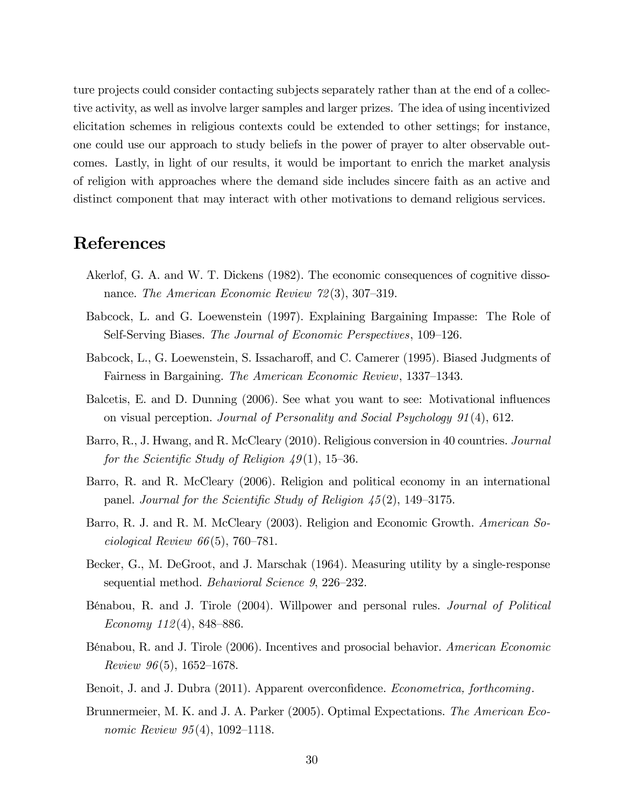ture projects could consider contacting subjects separately rather than at the end of a collective activity, as well as involve larger samples and larger prizes. The idea of using incentivized elicitation schemes in religious contexts could be extended to other settings; for instance, one could use our approach to study beliefs in the power of prayer to alter observable outcomes. Lastly, in light of our results, it would be important to enrich the market analysis of religion with approaches where the demand side includes sincere faith as an active and distinct component that may interact with other motivations to demand religious services.

### References

- Akerlof, G. A. and W. T. Dickens (1982). The economic consequences of cognitive dissonance. The American Economic Review  $72(3)$ , 307–319.
- Babcock, L. and G. Loewenstein (1997). Explaining Bargaining Impasse: The Role of Self-Serving Biases. The Journal of Economic Perspectives, 109–126.
- Babcock, L., G. Loewenstein, S. Issacharoff, and C. Camerer (1995). Biased Judgments of Fairness in Bargaining. The American Economic Review, 1337–1343.
- Balcetis, E. and D. Dunning (2006). See what you want to see: Motivational influences on visual perception. Journal of Personality and Social Psychology 91(4), 612.
- Barro, R., J. Hwang, and R. McCleary (2010). Religious conversion in 40 countries. Journal for the Scientific Study of Religion  $49(1)$ , 15-36.
- Barro, R. and R. McCleary (2006). Religion and political economy in an international panel. Journal for the Scientific Study of Religion  $\frac{45(2)}{149-3175}$ .
- Barro, R. J. and R. M. McCleary (2003). Religion and Economic Growth. American Sociological Review  $66(5)$ , 760–781.
- Becker, G., M. DeGroot, and J. Marschak (1964). Measuring utility by a single-response sequential method. Behavioral Science  $9, 226-232$ .
- BÈnabou, R. and J. Tirole (2004). Willpower and personal rules. Journal of Political Economy  $112(4)$ , 848–886.
- Bénabou, R. and J. Tirole (2006). Incentives and prosocial behavior. American Economic Review  $96(5)$ , 1652–1678.
- Benoit, J. and J. Dubra (2011). Apparent overconfidence. *Econometrica, forthcoming*.
- Brunnermeier, M. K. and J. A. Parker (2005). Optimal Expectations. The American Economic Review  $95(4)$ , 1092–1118.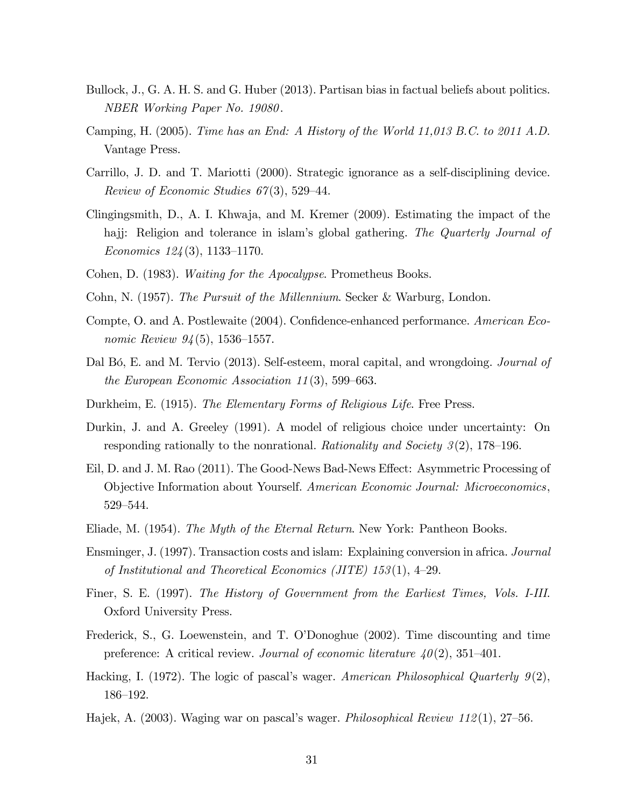- Bullock, J., G. A. H. S. and G. Huber (2013). Partisan bias in factual beliefs about politics. NBER Working Paper No. 19080.
- Camping, H. (2005). Time has an End: A History of the World 11,013 B.C. to 2011 A.D. Vantage Press.
- Carrillo, J. D. and T. Mariotti (2000). Strategic ignorance as a self-disciplining device. Review of Economic Studies  $67(3)$ , 529–44.
- Clingingsmith, D., A. I. Khwaja, and M. Kremer (2009). Estimating the impact of the hajj: Religion and tolerance in islam's global gathering. The Quarterly Journal of Economics  $124(3)$ , 1133–1170.
- Cohen, D. (1983). Waiting for the Apocalypse. Prometheus Books.
- Cohn, N. (1957). The Pursuit of the Millennium. Secker & Warburg, London.
- Compte, O. and A. Postlewaite (2004). Confidence-enhanced performance. American Economic Review  $94(5)$ , 1536–1557.
- Dal Bó, E. and M. Tervio (2013). Self-esteem, moral capital, and wrongdoing. *Journal of* the European Economic Association 11(3), 599–663.
- Durkheim, E. (1915). The Elementary Forms of Religious Life. Free Press.
- Durkin, J. and A. Greeley (1991). A model of religious choice under uncertainty: On responding rationally to the nonrational. Rationality and Society  $3(2)$ , 178–196.
- Eil, D. and J. M. Rao (2011). The Good-News Bad-News Effect: Asymmetric Processing of Objective Information about Yourself. American Economic Journal: Microeconomics, 529-544.
- Eliade, M. (1954). The Myth of the Eternal Return. New York: Pantheon Books.
- Ensminger, J. (1997). Transaction costs and islam: Explaining conversion in africa. Journal of Institutional and Theoretical Economics (JITE)  $153(1)$ , 4-29.
- Finer, S. E. (1997). The History of Government from the Earliest Times, Vols. I-III. Oxford University Press.
- Frederick, S., G. Loewenstein, and T. O'Donoghue (2002). Time discounting and time preference: A critical review. Journal of economic literature  $40(2)$ , 351–401.
- Hacking, I. (1972). The logic of pascal's wager. American Philosophical Quarterly  $9(2)$ , 186–192.
- Hajek, A. (2003). Waging war on pascal's wager. Philosophical Review 112(1), 27–56.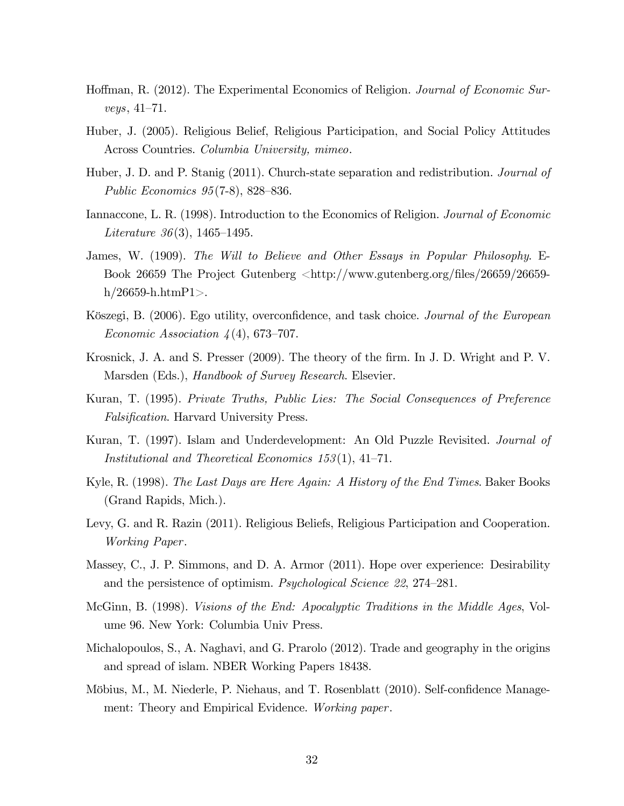- Hoffman, R. (2012). The Experimental Economics of Religion. Journal of Economic Sur $veys, 41–71.$
- Huber, J. (2005). Religious Belief, Religious Participation, and Social Policy Attitudes Across Countries. Columbia University, mimeo.
- Huber, J. D. and P. Stanig (2011). Church-state separation and redistribution. *Journal of* Public Economics  $95(7-8)$ , 828–836.
- Iannaccone, L. R. (1998). Introduction to the Economics of Religion. Journal of Economic Literature 36(3), 1465–1495.
- James, W. (1909). The Will to Believe and Other Essays in Popular Philosophy. E-Book 26659 The Project Gutenberg <http://www.gutenberg.org/files/26659/26659 $h/26659$ -h.htm $P1$ >.
- Köszegi, B. (2006). Ego utility, overconfidence, and task choice. Journal of the European Economic Association  $\lambda(4)$ , 673–707.
- Krosnick, J. A. and S. Presser (2009). The theory of the firm. In J. D. Wright and P. V. Marsden (Eds.), *Handbook of Survey Research*. Elsevier.
- Kuran, T. (1995). Private Truths, Public Lies: The Social Consequences of Preference Falsification. Harvard University Press.
- Kuran, T. (1997). Islam and Underdevelopment: An Old Puzzle Revisited. Journal of Institutional and Theoretical Economics  $153(1)$ , 41–71.
- Kyle, R. (1998). The Last Days are Here Again: A History of the End Times. Baker Books (Grand Rapids, Mich.).
- Levy, G. and R. Razin (2011). Religious Beliefs, Religious Participation and Cooperation. Working Paper.
- Massey, C., J. P. Simmons, and D. A. Armor (2011). Hope over experience: Desirability and the persistence of optimism. Psychological Science 22, 274–281.
- McGinn, B. (1998). Visions of the End: Apocalyptic Traditions in the Middle Ages, Volume 96. New York: Columbia Univ Press.
- Michalopoulos, S., A. Naghavi, and G. Prarolo (2012). Trade and geography in the origins and spread of islam. NBER Working Papers 18438.
- Möbius, M., M. Niederle, P. Niehaus, and T. Rosenblatt (2010). Self-confidence Management: Theory and Empirical Evidence. Working paper.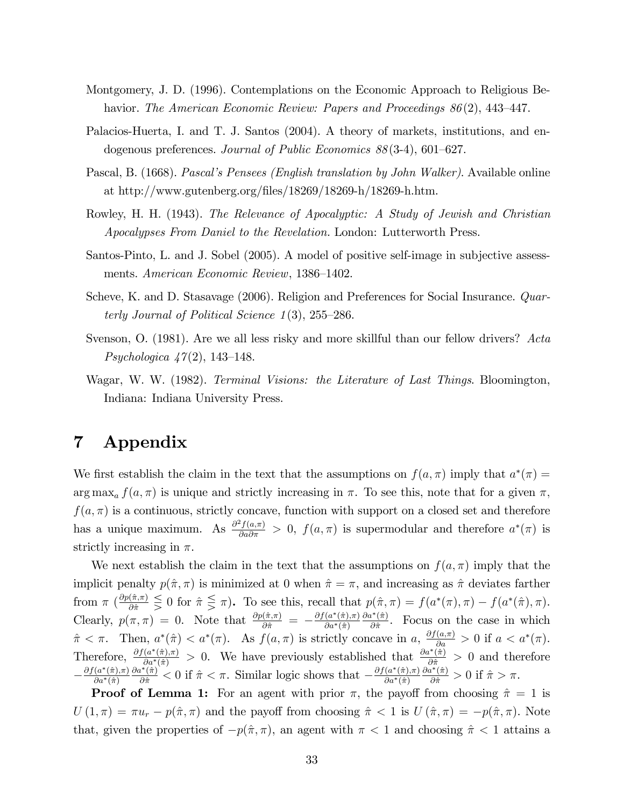- Montgomery, J. D. (1996). Contemplations on the Economic Approach to Religious Behavior. The American Economic Review: Papers and Proceedings  $86(2)$ , 443–447.
- Palacios-Huerta, I. and T. J. Santos (2004). A theory of markets, institutions, and endogenous preferences. Journal of Public Economics  $88(3-4)$ , 601–627.
- Pascal, B. (1668). Pascal's Pensees (English translation by John Walker). Available online at http://www.gutenberg.org/files/18269/18269-h/18269-h.htm.
- Rowley, H. H. (1943). The Relevance of Apocalyptic: A Study of Jewish and Christian Apocalypses From Daniel to the Revelation. London: Lutterworth Press.
- Santos-Pinto, L. and J. Sobel (2005). A model of positive self-image in subjective assessments. American Economic Review, 1386–1402.
- Scheve, K. and D. Stasavage (2006). Religion and Preferences for Social Insurance. Quarterly Journal of Political Science  $1(3)$ , 255–286.
- Svenson, O. (1981). Are we all less risky and more skillful than our fellow drivers? Acta *Psychologica*  $47(2)$ , 143–148.
- Wagar, W. W. (1982). Terminal Visions: the Literature of Last Things. Bloomington, Indiana: Indiana University Press.

# 7 Appendix

We first establish the claim in the text that the assumptions on  $f(a, \pi)$  imply that  $a^*(\pi) =$  $\arg \max_a f(a, \pi)$  is unique and strictly increasing in  $\pi$ . To see this, note that for a given  $\pi$ ,  $f(a,\pi)$  is a continuous, strictly concave, function with support on a closed set and therefore has a unique maximum. As  $\frac{\partial^2 f(a,\pi)}{\partial a \partial \pi} > 0$ ,  $f(a,\pi)$  is supermodular and therefore  $a^*(\pi)$  is strictly increasing in  $\pi$ .

We next establish the claim in the text that the assumptions on  $f(a,\pi)$  imply that the implicit penalty  $p(\hat{\pi}, \pi)$  is minimized at 0 when  $\hat{\pi} = \pi$ , and increasing as  $\hat{\pi}$  deviates farther from  $\pi$   $(\frac{\partial p(\hat{\pi}, \pi)}{\partial \hat{\pi}} \leq 0$  for  $\hat{\pi} \leq \pi$ ). To see this, recall that  $p(\hat{\pi}, \pi) = f(a^*(\pi), \pi) - f(a^*(\hat{\pi}), \pi)$ . Clearly,  $p(\pi, \pi) = 0$ . Note that  $\frac{\partial p(\hat{\pi}, \pi)}{\partial \hat{\pi}} = -\frac{\partial f(a^*(\hat{\pi}), \pi)}{\partial a^*(\hat{\pi})}$  $\partial a^*(\hat{\pi})$  $\partial a^*(\hat{\pi})$  $\frac{\partial f(\pi)}{\partial \hat{\pi}}$ . Focus on the case in which  $\hat{\pi} < \pi$ . Then,  $a^*(\hat{\pi}) < a^*(\pi)$ . As  $f(a, \pi)$  is strictly concave in  $a, \frac{\partial f(a, \pi)}{\partial a} > 0$  if  $a < a^*(\pi)$ . Therefore,  $\frac{\partial f(a^*(\hat{\pi}),\pi)}{\partial a^*(\hat{\pi})} > 0$ . We have previously established that  $\frac{\partial a^*(\hat{\pi})}{\partial \hat{\pi}} > 0$  and therefore  $-\frac{\partial f(a^*(\hat{\pi}), \pi)}{\partial a^*(\hat{\pi})}$  $\partial a^*(\hat{\pi})$  $\frac{\partial a^*(\hat{\pi})}{\partial \hat{\pi}} < 0$  if  $\hat{\pi} < \pi$ . Similar logic shows that  $-\frac{\partial f(a^*(\hat{\pi}), \pi)}{\partial a^*(\hat{\pi})}$  $\partial a^*(\hat{\pi})$  $\frac{\partial a^*(\hat{\pi})}{\partial \hat{\pi}} > 0$  if  $\hat{\pi} > \pi$ .

**Proof of Lemma 1:** For an agent with prior  $\pi$ , the payoff from choosing  $\hat{\pi} = 1$  is  $U(1,\pi) = \pi u_r - p(\hat{\pi}, \pi)$  and the payoff from choosing  $\hat{\pi} < 1$  is  $U(\hat{\pi}, \pi) = -p(\hat{\pi}, \pi)$ . Note that, given the properties of  $-p(\hat{\pi}, \pi)$ , an agent with  $\pi < 1$  and choosing  $\hat{\pi} < 1$  attains a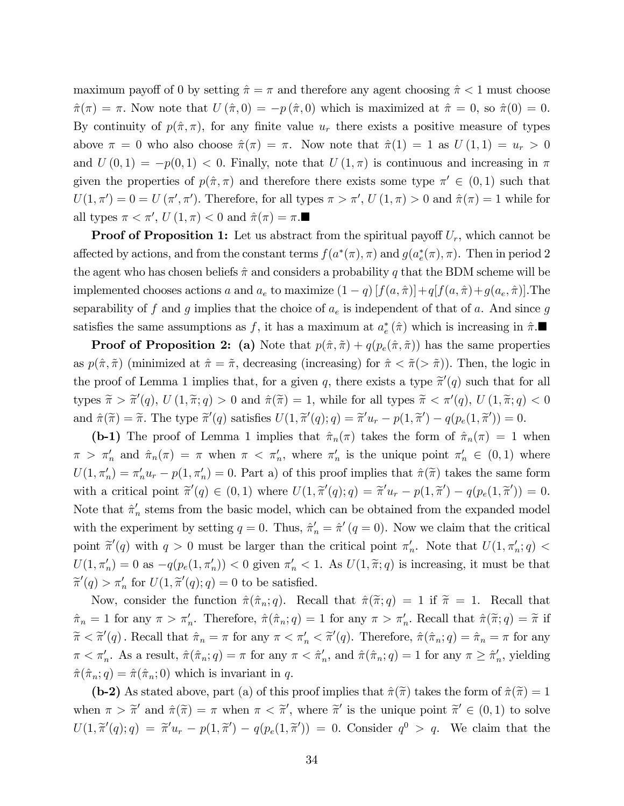maximum payoff of 0 by setting  $\hat{\pi} = \pi$  and therefore any agent choosing  $\hat{\pi} < 1$  must choose  $\hat{\pi}(\pi) = \pi$ . Now note that  $U(\hat{\pi}, 0) = -p(\hat{\pi}, 0)$  which is maximized at  $\hat{\pi} = 0$ , so  $\hat{\pi}(0) = 0$ . By continuity of  $p(\hat{\pi}, \pi)$ , for any finite value  $u_r$  there exists a positive measure of types above  $\pi = 0$  who also choose  $\hat{\pi}(\pi) = \pi$ . Now note that  $\hat{\pi}(1) = 1$  as  $U(1, 1) = u_r > 0$ and  $U(0,1) = -p(0,1) < 0$ . Finally, note that  $U(1,\pi)$  is continuous and increasing in  $\pi$ given the properties of  $p(\hat{\pi}, \pi)$  and therefore there exists some type  $\pi' \in (0, 1)$  such that  $U(1, \pi') = 0 = U(\pi', \pi')$ . Therefore, for all types  $\pi > \pi'$ ,  $U(1, \pi) > 0$  and  $\hat{\pi}(\pi) = 1$  while for all types  $\pi < \pi'$ ,  $U(1, \pi) < 0$  and  $\hat{\pi}(\pi) = \pi$ .

**Proof of Proposition 1:** Let us abstract from the spiritual payoff  $U_r$ , which cannot be affected by actions, and from the constant terms  $f(a^*(\pi), \pi)$  and  $g(a_e^*(\pi), \pi)$ . Then in period 2 the agent who has chosen beliefs  $\hat{\pi}$  and considers a probability q that the BDM scheme will be implemented chooses actions a and  $a_e$  to maximize  $(1 - q) [f(a, \hat{\pi})] + q[f(a, \hat{\pi}) + g(a_e, \hat{\pi})]$ . The separability of f and g implies that the choice of  $a_e$  is independent of that of a. And since g satisfies the same assumptions as f, it has a maximum at  $a_e^* (\hat{\pi})$  which is increasing in  $\hat{\pi}$ .

**Proof of Proposition 2:** (a) Note that  $p(\hat{\pi}, \tilde{\pi}) + q(p_e(\hat{\pi}, \tilde{\pi}))$  has the same properties as  $p(\hat{\pi}, \tilde{\pi})$  (minimized at  $\hat{\pi} = \tilde{\pi}$ , decreasing (increasing) for  $\hat{\pi} < \tilde{\pi}$ ( $> \tilde{\pi}$ )). Then, the logic in the proof of Lemma 1 implies that, for a given q, there exists a type  $\tilde{\pi}'(q)$  such that for all types  $\tilde{\pi} > \tilde{\pi}'(q)$ ,  $U(1, \tilde{\pi}; q) > 0$  and  $\hat{\pi}(\tilde{\pi}) = 1$ , while for all types  $\tilde{\pi} < \pi'(q)$ ,  $U(1, \tilde{\pi}; q) < 0$ and  $\hat{\pi}(\tilde{\pi}) = \tilde{\pi}$ . The type  $\tilde{\pi}'(q)$  satisfies  $U(1, \tilde{\pi}'(q); q) = \tilde{\pi}' u_r - p(1, \tilde{\pi}') - q(p_e(1, \tilde{\pi}')) = 0$ .

(b-1) The proof of Lemma 1 implies that  $\hat{\pi}_n(\pi)$  takes the form of  $\hat{\pi}_n(\pi) = 1$  when  $\pi > \pi'_n$  and  $\hat{\pi}_n(\pi) = \pi$  when  $\pi < \pi'_n$ , where  $\pi'_n$  is the unique point  $\pi'_n \in (0,1)$  where  $U(1, \pi'_n) = \pi'_n u_r - p(1, \pi'_n) = 0$ . Part a) of this proof implies that  $\hat{\pi}(\tilde{\pi})$  takes the same form with a critical point  $\tilde{\pi}'(q) \in (0,1)$  where  $U(1, \tilde{\pi}'(q); q) = \tilde{\pi}' u_r - p(1, \tilde{\pi}') - q(p_e(1, \tilde{\pi}')) = 0$ . Note that  $\hat{\pi}'_n$  stems from the basic model, which can be obtained from the expanded model with the experiment by setting  $q = 0$ . Thus,  $\hat{\pi}'_n = \hat{\pi}'(q = 0)$ . Now we claim that the critical point  $\tilde{\pi}'(q)$  with  $q > 0$  must be larger than the critical point  $\pi'_n$ . Note that  $U(1, \pi'_n; q) <$  $U(1, \pi'_n) = 0$  as  $-q(p_e(1, \pi'_n)) < 0$  given  $\pi'_n < 1$ . As  $U(1, \tilde{\pi}; q)$  is increasing, it must be that  $\widetilde{\pi}'(q) > \pi'_n$  for  $U(1, \widetilde{\pi}'(q); q) = 0$  to be satisfied.

Now, consider the function  $\hat{\pi}(\hat{\pi}_n; q)$ . Recall that  $\hat{\pi}(\tilde{\pi}; q) = 1$  if  $\tilde{\pi} = 1$ . Recall that  $\hat{\pi}_n = 1$  for any  $\pi > \pi'_n$ . Therefore,  $\hat{\pi}(\hat{\pi}_n; q) = 1$  for any  $\pi > \pi'_n$ . Recall that  $\hat{\pi}(\tilde{\pi}; q) = \tilde{\pi}$  if  $\widetilde{\pi} < \widetilde{\pi}'(q)$ . Recall that  $\hat{\pi}_n = \pi$  for any  $\pi < \pi'_n < \widetilde{\pi}'(q)$ . Therefore,  $\hat{\pi}(\hat{\pi}_n; q) = \hat{\pi}_n = \pi$  for any  $\pi < \pi'_n$ . As a result,  $\hat{\pi}(\hat{\pi}_n; q) = \pi$  for any  $\pi < \hat{\pi}'_n$ , and  $\hat{\pi}(\hat{\pi}_n; q) = 1$  for any  $\pi \geq \hat{\pi}'_n$ , yielding  $\hat{\pi}(\hat{\pi}_n; q) = \hat{\pi}(\hat{\pi}_n; 0)$  which is invariant in q.

(b-2) As stated above, part (a) of this proof implies that  $\hat{\pi}(\tilde{\pi})$  takes the form of  $\hat{\pi}(\tilde{\pi}) = 1$ when  $\pi > \tilde{\pi}'$  and  $\hat{\pi}(\tilde{\pi}) = \pi$  when  $\pi < \tilde{\pi}'$ , where  $\tilde{\pi}'$  is the unique point  $\tilde{\pi}' \in (0,1)$  to solve  $U(1,\tilde{\pi}'(q);q) = \tilde{\pi}'u_r - p(1,\tilde{\pi}') - q(p_e(1,\tilde{\pi}')) = 0.$  Consider  $q^0 > q$ . We claim that the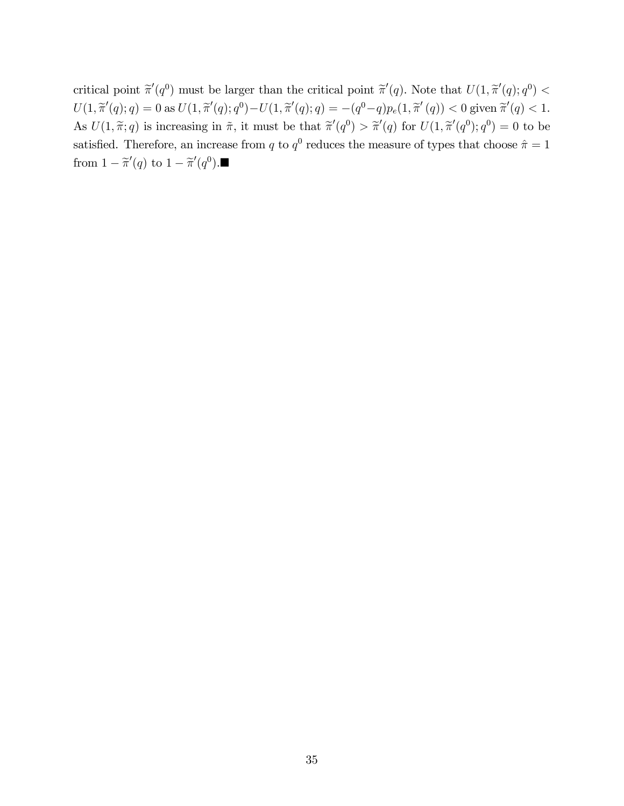critical point  $\tilde{\pi}'(q)$  must be larger than the critical point  $\tilde{\pi}'(q)$ . Note that  $U(1, \tilde{\pi}'(q); q^0)$  <  $U(1, \widetilde{\pi}'(q); q) = 0 \text{ as } U(1, \widetilde{\pi}'(q); q^0) - U(1, \widetilde{\pi}'(q); q) = -(q^0 - q)p_e(1, \widetilde{\pi}'(q)) < 0 \text{ given } \widetilde{\pi}'(q) < 1.$ As  $U(1, \tilde{\pi}; q)$  is increasing in  $\tilde{\pi}$ , it must be that  $\tilde{\pi}'(q^0) > \tilde{\pi}'(q)$  for  $U(1, \tilde{\pi}'(q^0); q^0) = 0$  to be satisfied. Therefore, an increase from q to  $q^0$  reduces the measure of types that choose  $\hat{\pi} = 1$ from  $1 - \tilde{\pi}'(q)$  to  $1 - \tilde{\pi}'(q^0)$ .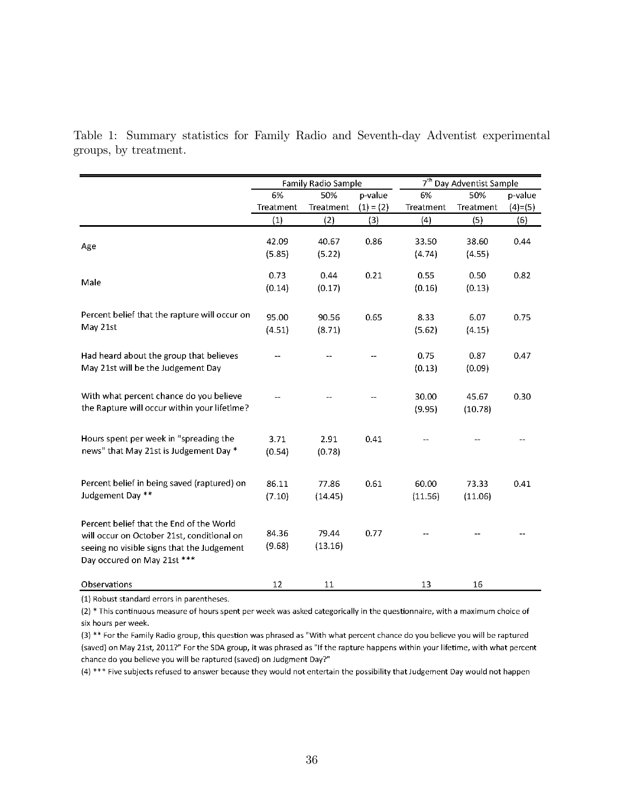Table 1: Summary statistics for Family Radio and Seventh-day Adventist experimental groups, by treatment.

|                                               | Family Radio Sample |           |             | 7 <sup>th</sup> Day Adventist Sample |           |           |
|-----------------------------------------------|---------------------|-----------|-------------|--------------------------------------|-----------|-----------|
|                                               | 6%                  | 50%       | p-value     | 6%                                   | 50%       | p-value   |
|                                               | Treatment           | Treatment | $(1) = (2)$ | Treatment                            | Treatment | $(4)=(5)$ |
|                                               | (1)                 | (2)       | (3)         | (4)                                  | (5)       | (6)       |
|                                               | 42.09               | 40.67     | 0.86        | 33.50                                | 38.60     |           |
| Age                                           |                     |           |             |                                      |           | 0.44      |
|                                               | (5.85)              | (5.22)    |             | (4.74)                               | (4.55)    |           |
|                                               | 0.73                | 0.44      | 0.21        | 0.55                                 | 0.50      | 0.82      |
| Male                                          | (0.14)              | (0.17)    |             | (0.16)                               | (0.13)    |           |
|                                               |                     |           |             |                                      |           |           |
| Percent belief that the rapture will occur on | 95.00               | 90.56     | 0.65        | 8.33                                 | 6.07      | 0.75      |
| May 21st                                      | (4.51)              | (8.71)    |             | (5.62)                               | (4.15)    |           |
|                                               |                     |           |             |                                      |           |           |
| Had heard about the group that believes       |                     |           |             | 0.75                                 | 0.87      | 0.47      |
| May 21st will be the Judgement Day            |                     |           |             | (0.13)                               | (0.09)    |           |
|                                               |                     |           |             |                                      |           |           |
| With what percent chance do you believe       |                     |           |             | 30.00                                | 45.67     | 0.30      |
| the Rapture will occur within your lifetime?  |                     |           |             | (9.95)                               | (10.78)   |           |
|                                               |                     |           |             |                                      |           |           |
| Hours spent per week in "spreading the        | 3.71                | 2.91      | 0.41        |                                      |           |           |
| news" that May 21st is Judgement Day *        | (0.54)              | (0.78)    |             |                                      |           |           |
|                                               |                     |           |             |                                      |           |           |
|                                               |                     |           |             |                                      |           |           |
| Percent belief in being saved (raptured) on   | 86.11               | 77.86     | 0.61        | 60.00                                | 73.33     | 0.41      |
| Judgement Day **                              | (7.10)              | (14.45)   |             | (11.56)                              | (11.06)   |           |
|                                               |                     |           |             |                                      |           |           |
| Percent belief that the End of the World      |                     |           |             |                                      |           |           |
| will occur on October 21st, conditional on    | 84.36               | 79.44     | 0.77        |                                      |           |           |
| seeing no visible signs that the Judgement    | (9.68)              | (13.16)   |             |                                      |           |           |
| Day occured on May 21st ***                   |                     |           |             |                                      |           |           |
|                                               |                     |           |             |                                      |           |           |
| Observations                                  | 12                  | 11        |             | 13                                   | 16        |           |

(1) Robust standard errors in parentheses.

(2) \* This continuous measure of hours spent per week was asked categorically in the questionnaire, with a maximum choice of six hours per week.

(3) \*\* For the Family Radio group, this question was phrased as "With what percent chance do you believe you will be raptured (saved) on May 21st, 2011?" For the SDA group, it was phrased as "If the rapture happens within your lifetime, with what percent chance do you believe you will be raptured (saved) on Judgment Day?"

(4) \*\*\* Five subjects refused to answer because they would not entertain the possibility that Judgement Day would not happen